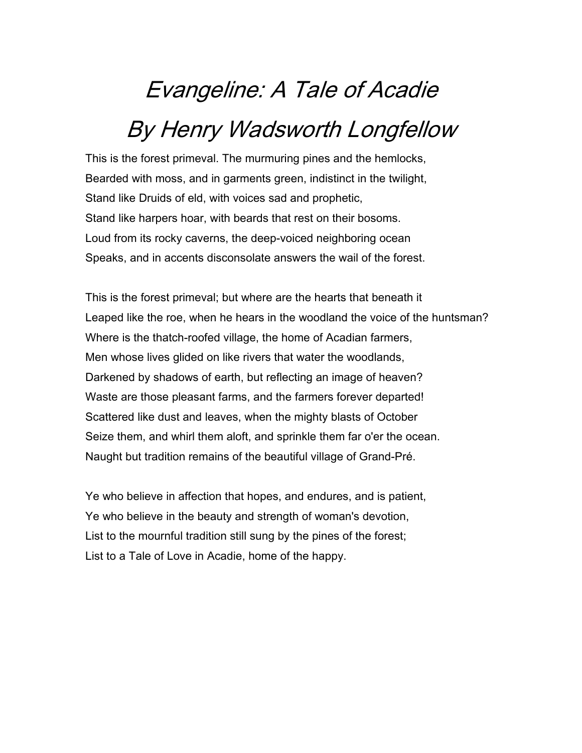# Evangeline: A Tale of Acadie By Henry Wadsworth Longfellow

This is the forest primeval. The murmuring pines and the hemlocks, Bearded with moss, and in garments green, indistinct in the twilight, Stand like Druids of eld, with voices sad and prophetic, Stand like harpers hoar, with beards that rest on their bosoms. Loud from its rocky caverns, the deep-voiced neighboring ocean Speaks, and in accents disconsolate answers the wail of the forest.

This is the forest primeval; but where are the hearts that beneath it Leaped like the roe, when he hears in the woodland the voice of the huntsman? Where is the thatch-roofed village, the home of Acadian farmers, Men whose lives glided on like rivers that water the woodlands, Darkened by shadows of earth, but reflecting an image of heaven? Waste are those pleasant farms, and the farmers forever departed! Scattered like dust and leaves, when the mighty blasts of October Seize them, and whirl them aloft, and sprinkle them far o'er the ocean. Naught but tradition remains of the beautiful village of Grand-Pré.

Ye who believe in affection that hopes, and endures, and is patient, Ye who believe in the beauty and strength of woman's devotion, List to the mournful tradition still sung by the pines of the forest; List to a Tale of Love in Acadie, home of the happy.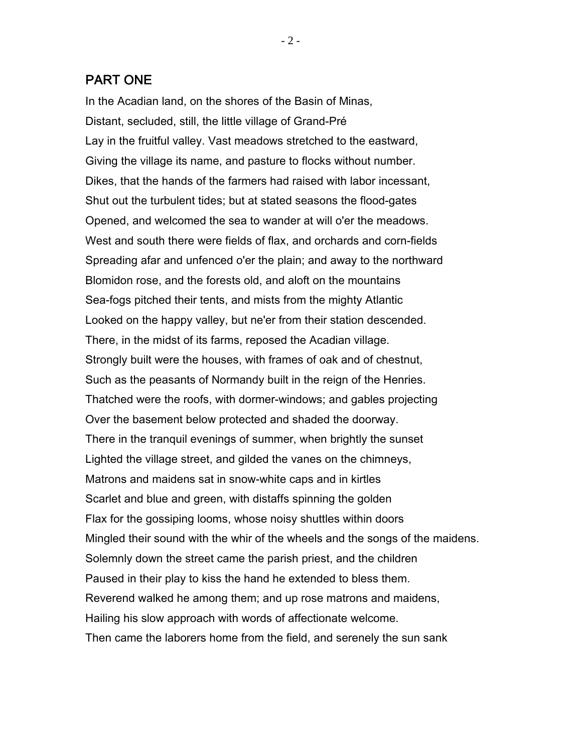## PART ONE

In the Acadian land, on the shores of the Basin of Minas, Distant, secluded, still, the little village of Grand-Pré Lay in the fruitful valley. Vast meadows stretched to the eastward, Giving the village its name, and pasture to flocks without number. Dikes, that the hands of the farmers had raised with labor incessant, Shut out the turbulent tides; but at stated seasons the flood-gates Opened, and welcomed the sea to wander at will o'er the meadows. West and south there were fields of flax, and orchards and corn-fields Spreading afar and unfenced o'er the plain; and away to the northward Blomidon rose, and the forests old, and aloft on the mountains Sea-fogs pitched their tents, and mists from the mighty Atlantic Looked on the happy valley, but ne'er from their station descended. There, in the midst of its farms, reposed the Acadian village. Strongly built were the houses, with frames of oak and of chestnut, Such as the peasants of Normandy built in the reign of the Henries. Thatched were the roofs, with dormer-windows; and gables projecting Over the basement below protected and shaded the doorway. There in the tranquil evenings of summer, when brightly the sunset Lighted the village street, and gilded the vanes on the chimneys, Matrons and maidens sat in snow-white caps and in kirtles Scarlet and blue and green, with distaffs spinning the golden Flax for the gossiping looms, whose noisy shuttles within doors Mingled their sound with the whir of the wheels and the songs of the maidens. Solemnly down the street came the parish priest, and the children Paused in their play to kiss the hand he extended to bless them. Reverend walked he among them; and up rose matrons and maidens, Hailing his slow approach with words of affectionate welcome. Then came the laborers home from the field, and serenely the sun sank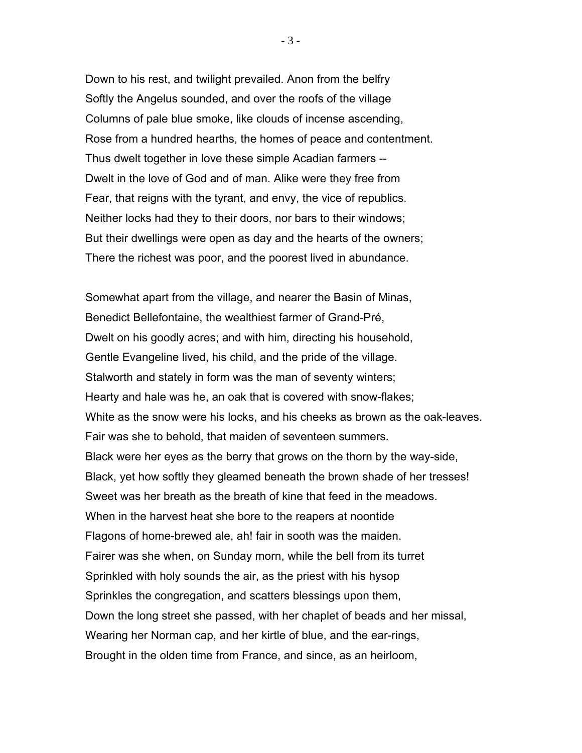Down to his rest, and twilight prevailed. Anon from the belfry Softly the Angelus sounded, and over the roofs of the village Columns of pale blue smoke, like clouds of incense ascending, Rose from a hundred hearths, the homes of peace and contentment. Thus dwelt together in love these simple Acadian farmers -- Dwelt in the love of God and of man. Alike were they free from Fear, that reigns with the tyrant, and envy, the vice of republics. Neither locks had they to their doors, nor bars to their windows; But their dwellings were open as day and the hearts of the owners; There the richest was poor, and the poorest lived in abundance.

Somewhat apart from the village, and nearer the Basin of Minas, Benedict Bellefontaine, the wealthiest farmer of Grand-Pré, Dwelt on his goodly acres; and with him, directing his household, Gentle Evangeline lived, his child, and the pride of the village. Stalworth and stately in form was the man of seventy winters; Hearty and hale was he, an oak that is covered with snow-flakes; White as the snow were his locks, and his cheeks as brown as the oak-leaves. Fair was she to behold, that maiden of seventeen summers. Black were her eyes as the berry that grows on the thorn by the way-side, Black, yet how softly they gleamed beneath the brown shade of her tresses! Sweet was her breath as the breath of kine that feed in the meadows. When in the harvest heat she bore to the reapers at noontide Flagons of home-brewed ale, ah! fair in sooth was the maiden. Fairer was she when, on Sunday morn, while the bell from its turret Sprinkled with holy sounds the air, as the priest with his hysop Sprinkles the congregation, and scatters blessings upon them, Down the long street she passed, with her chaplet of beads and her missal, Wearing her Norman cap, and her kirtle of blue, and the ear-rings, Brought in the olden time from France, and since, as an heirloom,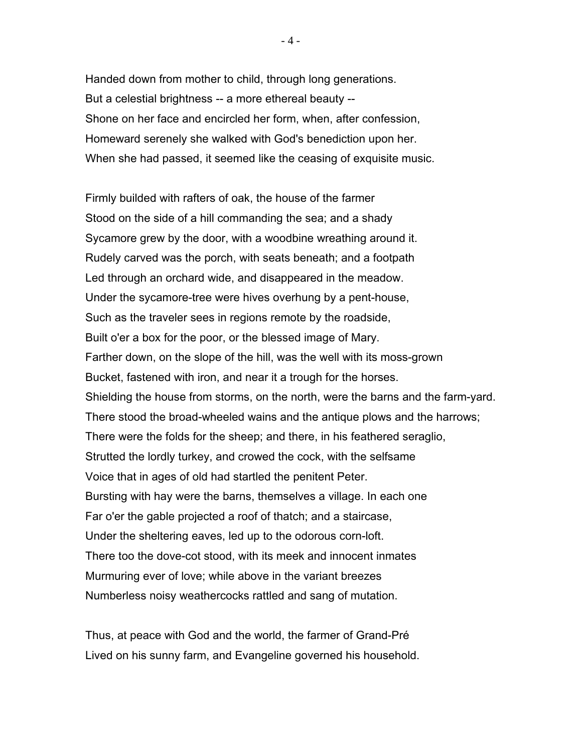Handed down from mother to child, through long generations. But a celestial brightness -- a more ethereal beauty -- Shone on her face and encircled her form, when, after confession, Homeward serenely she walked with God's benediction upon her. When she had passed, it seemed like the ceasing of exquisite music.

Firmly builded with rafters of oak, the house of the farmer Stood on the side of a hill commanding the sea; and a shady Sycamore grew by the door, with a woodbine wreathing around it. Rudely carved was the porch, with seats beneath; and a footpath Led through an orchard wide, and disappeared in the meadow. Under the sycamore-tree were hives overhung by a pent-house, Such as the traveler sees in regions remote by the roadside, Built o'er a box for the poor, or the blessed image of Mary. Farther down, on the slope of the hill, was the well with its moss-grown Bucket, fastened with iron, and near it a trough for the horses. Shielding the house from storms, on the north, were the barns and the farm-yard. There stood the broad-wheeled wains and the antique plows and the harrows; There were the folds for the sheep; and there, in his feathered seraglio, Strutted the lordly turkey, and crowed the cock, with the selfsame Voice that in ages of old had startled the penitent Peter. Bursting with hay were the barns, themselves a village. In each one Far o'er the gable projected a roof of thatch; and a staircase, Under the sheltering eaves, led up to the odorous corn-loft. There too the dove-cot stood, with its meek and innocent inmates Murmuring ever of love; while above in the variant breezes Numberless noisy weathercocks rattled and sang of mutation.

Thus, at peace with God and the world, the farmer of Grand-Pré Lived on his sunny farm, and Evangeline governed his household.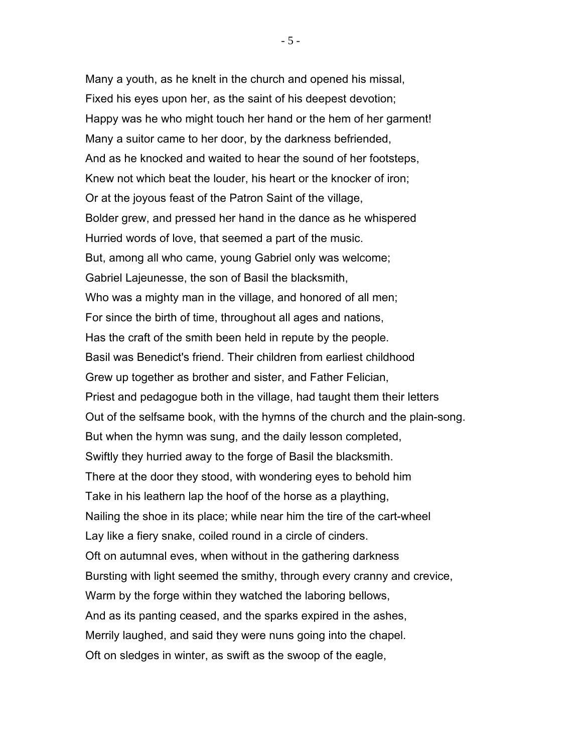Many a youth, as he knelt in the church and opened his missal, Fixed his eyes upon her, as the saint of his deepest devotion; Happy was he who might touch her hand or the hem of her garment! Many a suitor came to her door, by the darkness befriended, And as he knocked and waited to hear the sound of her footsteps, Knew not which beat the louder, his heart or the knocker of iron; Or at the joyous feast of the Patron Saint of the village, Bolder grew, and pressed her hand in the dance as he whispered Hurried words of love, that seemed a part of the music. But, among all who came, young Gabriel only was welcome; Gabriel Lajeunesse, the son of Basil the blacksmith, Who was a mighty man in the village, and honored of all men; For since the birth of time, throughout all ages and nations, Has the craft of the smith been held in repute by the people. Basil was Benedict's friend. Their children from earliest childhood Grew up together as brother and sister, and Father Felician, Priest and pedagogue both in the village, had taught them their letters Out of the selfsame book, with the hymns of the church and the plain-song. But when the hymn was sung, and the daily lesson completed, Swiftly they hurried away to the forge of Basil the blacksmith. There at the door they stood, with wondering eyes to behold him Take in his leathern lap the hoof of the horse as a plaything, Nailing the shoe in its place; while near him the tire of the cart-wheel Lay like a fiery snake, coiled round in a circle of cinders. Oft on autumnal eves, when without in the gathering darkness Bursting with light seemed the smithy, through every cranny and crevice, Warm by the forge within they watched the laboring bellows, And as its panting ceased, and the sparks expired in the ashes, Merrily laughed, and said they were nuns going into the chapel. Oft on sledges in winter, as swift as the swoop of the eagle,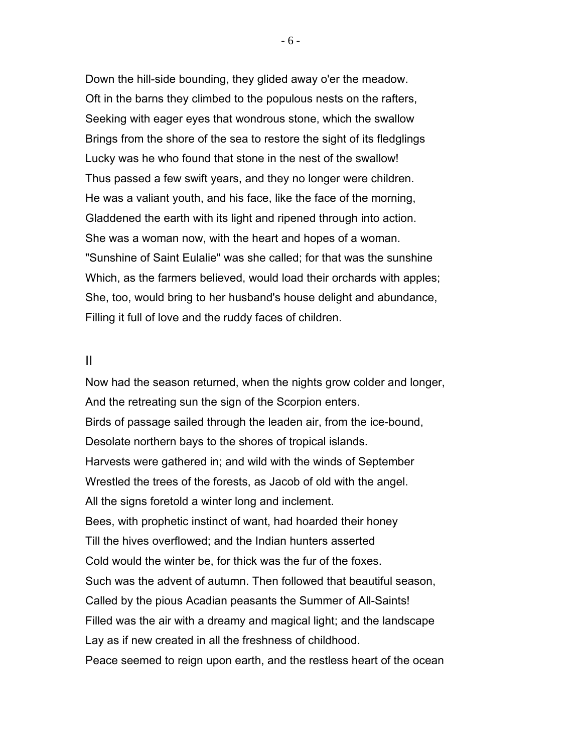Down the hill-side bounding, they glided away o'er the meadow. Oft in the barns they climbed to the populous nests on the rafters, Seeking with eager eyes that wondrous stone, which the swallow Brings from the shore of the sea to restore the sight of its fledglings Lucky was he who found that stone in the nest of the swallow! Thus passed a few swift years, and they no longer were children. He was a valiant youth, and his face, like the face of the morning, Gladdened the earth with its light and ripened through into action. She was a woman now, with the heart and hopes of a woman. "Sunshine of Saint Eulalie" was she called; for that was the sunshine Which, as the farmers believed, would load their orchards with apples; She, too, would bring to her husband's house delight and abundance, Filling it full of love and the ruddy faces of children.

### II

Now had the season returned, when the nights grow colder and longer, And the retreating sun the sign of the Scorpion enters. Birds of passage sailed through the leaden air, from the ice-bound, Desolate northern bays to the shores of tropical islands. Harvests were gathered in; and wild with the winds of September Wrestled the trees of the forests, as Jacob of old with the angel. All the signs foretold a winter long and inclement. Bees, with prophetic instinct of want, had hoarded their honey Till the hives overflowed; and the Indian hunters asserted Cold would the winter be, for thick was the fur of the foxes. Such was the advent of autumn. Then followed that beautiful season, Called by the pious Acadian peasants the Summer of All-Saints! Filled was the air with a dreamy and magical light; and the landscape Lay as if new created in all the freshness of childhood. Peace seemed to reign upon earth, and the restless heart of the ocean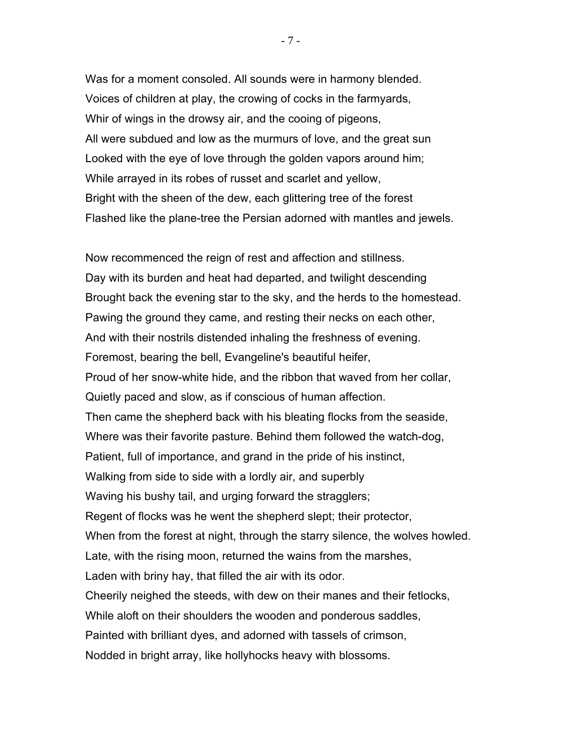Was for a moment consoled. All sounds were in harmony blended. Voices of children at play, the crowing of cocks in the farmyards, Whir of wings in the drowsy air, and the cooing of pigeons, All were subdued and low as the murmurs of love, and the great sun Looked with the eye of love through the golden vapors around him; While arrayed in its robes of russet and scarlet and yellow, Bright with the sheen of the dew, each glittering tree of the forest Flashed like the plane-tree the Persian adorned with mantles and jewels.

Now recommenced the reign of rest and affection and stillness. Day with its burden and heat had departed, and twilight descending Brought back the evening star to the sky, and the herds to the homestead. Pawing the ground they came, and resting their necks on each other, And with their nostrils distended inhaling the freshness of evening. Foremost, bearing the bell, Evangeline's beautiful heifer, Proud of her snow-white hide, and the ribbon that waved from her collar, Quietly paced and slow, as if conscious of human affection. Then came the shepherd back with his bleating flocks from the seaside, Where was their favorite pasture. Behind them followed the watch-dog, Patient, full of importance, and grand in the pride of his instinct, Walking from side to side with a lordly air, and superbly Waving his bushy tail, and urging forward the stragglers; Regent of flocks was he went the shepherd slept; their protector, When from the forest at night, through the starry silence, the wolves howled. Late, with the rising moon, returned the wains from the marshes, Laden with briny hay, that filled the air with its odor. Cheerily neighed the steeds, with dew on their manes and their fetlocks, While aloft on their shoulders the wooden and ponderous saddles, Painted with brilliant dyes, and adorned with tassels of crimson, Nodded in bright array, like hollyhocks heavy with blossoms.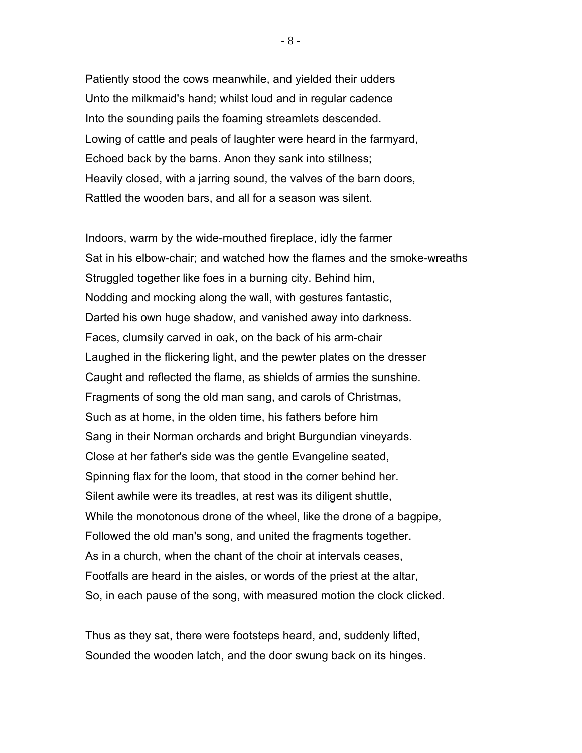Patiently stood the cows meanwhile, and yielded their udders Unto the milkmaid's hand; whilst loud and in regular cadence Into the sounding pails the foaming streamlets descended. Lowing of cattle and peals of laughter were heard in the farmyard, Echoed back by the barns. Anon they sank into stillness; Heavily closed, with a jarring sound, the valves of the barn doors, Rattled the wooden bars, and all for a season was silent.

Indoors, warm by the wide-mouthed fireplace, idly the farmer Sat in his elbow-chair; and watched how the flames and the smoke-wreaths Struggled together like foes in a burning city. Behind him, Nodding and mocking along the wall, with gestures fantastic, Darted his own huge shadow, and vanished away into darkness. Faces, clumsily carved in oak, on the back of his arm-chair Laughed in the flickering light, and the pewter plates on the dresser Caught and reflected the flame, as shields of armies the sunshine. Fragments of song the old man sang, and carols of Christmas, Such as at home, in the olden time, his fathers before him Sang in their Norman orchards and bright Burgundian vineyards. Close at her father's side was the gentle Evangeline seated, Spinning flax for the loom, that stood in the corner behind her. Silent awhile were its treadles, at rest was its diligent shuttle, While the monotonous drone of the wheel, like the drone of a bagpipe, Followed the old man's song, and united the fragments together. As in a church, when the chant of the choir at intervals ceases, Footfalls are heard in the aisles, or words of the priest at the altar, So, in each pause of the song, with measured motion the clock clicked.

Thus as they sat, there were footsteps heard, and, suddenly lifted, Sounded the wooden latch, and the door swung back on its hinges.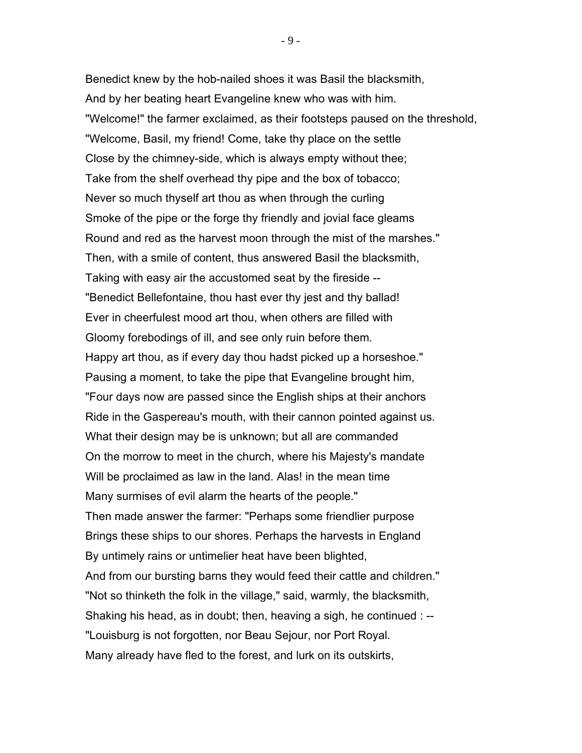Benedict knew by the hob-nailed shoes it was Basil the blacksmith, And by her beating heart Evangeline knew who was with him. "Welcome!" the farmer exclaimed, as their footsteps paused on the threshold, "Welcome, Basil, my friend! Come, take thy place on the settle Close by the chimney-side, which is always empty without thee; Take from the shelf overhead thy pipe and the box of tobacco; Never so much thyself art thou as when through the curling Smoke of the pipe or the forge thy friendly and jovial face gleams Round and red as the harvest moon through the mist of the marshes." Then, with a smile of content, thus answered Basil the blacksmith, Taking with easy air the accustomed seat by the fireside -- "Benedict Bellefontaine, thou hast ever thy jest and thy ballad! Ever in cheerfulest mood art thou, when others are filled with Gloomy forebodings of ill, and see only ruin before them. Happy art thou, as if every day thou hadst picked up a horseshoe." Pausing a moment, to take the pipe that Evangeline brought him, "Four days now are passed since the English ships at their anchors Ride in the Gaspereau's mouth, with their cannon pointed against us. What their design may be is unknown; but all are commanded On the morrow to meet in the church, where his Majesty's mandate Will be proclaimed as law in the land. Alas! in the mean time Many surmises of evil alarm the hearts of the people." Then made answer the farmer: "Perhaps some friendlier purpose Brings these ships to our shores. Perhaps the harvests in England By untimely rains or untimelier heat have been blighted, And from our bursting barns they would feed their cattle and children." "Not so thinketh the folk in the village," said, warmly, the blacksmith, Shaking his head, as in doubt; then, heaving a sigh, he continued : -- "Louisburg is not forgotten, nor Beau Sejour, nor Port Royal. Many already have fled to the forest, and lurk on its outskirts,

 $- 9 -$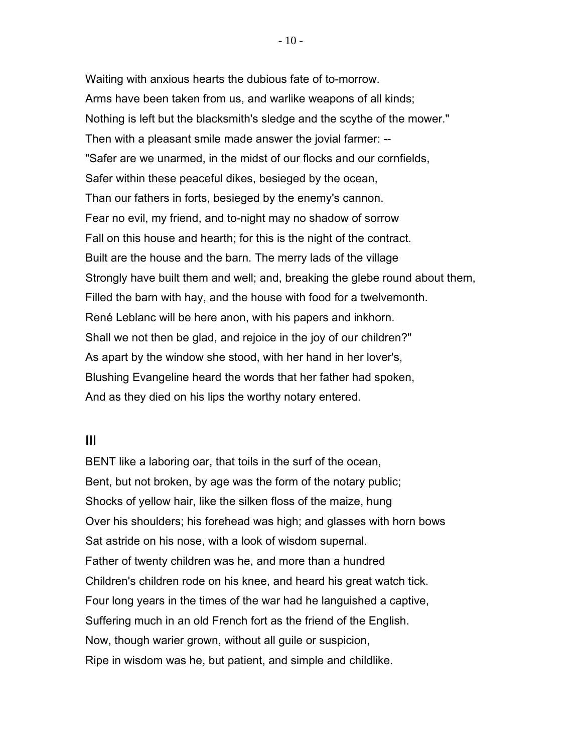Waiting with anxious hearts the dubious fate of to-morrow. Arms have been taken from us, and warlike weapons of all kinds; Nothing is left but the blacksmith's sledge and the scythe of the mower." Then with a pleasant smile made answer the jovial farmer: -- "Safer are we unarmed, in the midst of our flocks and our cornfields, Safer within these peaceful dikes, besieged by the ocean, Than our fathers in forts, besieged by the enemy's cannon. Fear no evil, my friend, and to-night may no shadow of sorrow Fall on this house and hearth; for this is the night of the contract. Built are the house and the barn. The merry lads of the village Strongly have built them and well; and, breaking the glebe round about them, Filled the barn with hay, and the house with food for a twelvemonth. René Leblanc will be here anon, with his papers and inkhorn. Shall we not then be glad, and rejoice in the joy of our children?" As apart by the window she stood, with her hand in her lover's, Blushing Evangeline heard the words that her father had spoken, And as they died on his lips the worthy notary entered.

## III

BENT like a laboring oar, that toils in the surf of the ocean, Bent, but not broken, by age was the form of the notary public; Shocks of yellow hair, like the silken floss of the maize, hung Over his shoulders; his forehead was high; and glasses with horn bows Sat astride on his nose, with a look of wisdom supernal. Father of twenty children was he, and more than a hundred Children's children rode on his knee, and heard his great watch tick. Four long years in the times of the war had he languished a captive, Suffering much in an old French fort as the friend of the English. Now, though warier grown, without all guile or suspicion, Ripe in wisdom was he, but patient, and simple and childlike.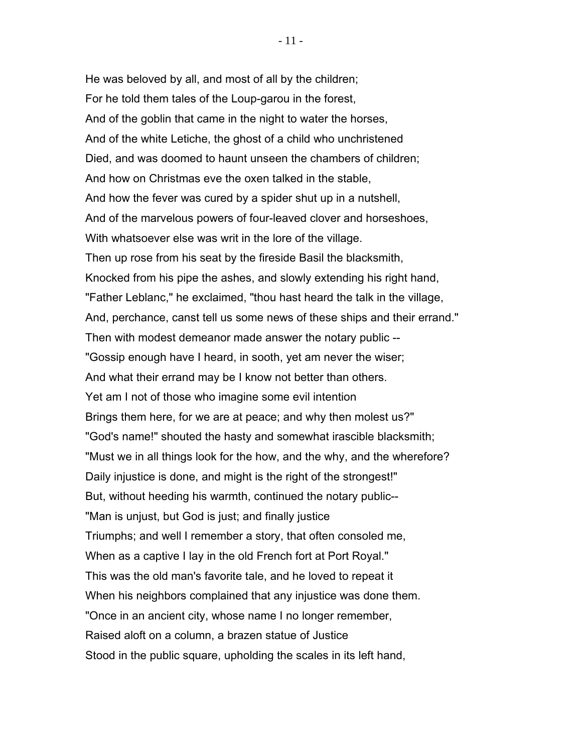He was beloved by all, and most of all by the children; For he told them tales of the Loup-garou in the forest, And of the goblin that came in the night to water the horses, And of the white Letiche, the ghost of a child who unchristened Died, and was doomed to haunt unseen the chambers of children; And how on Christmas eve the oxen talked in the stable, And how the fever was cured by a spider shut up in a nutshell, And of the marvelous powers of four-leaved clover and horseshoes, With whatsoever else was writ in the lore of the village. Then up rose from his seat by the fireside Basil the blacksmith, Knocked from his pipe the ashes, and slowly extending his right hand, "Father Leblanc," he exclaimed, "thou hast heard the talk in the village, And, perchance, canst tell us some news of these ships and their errand." Then with modest demeanor made answer the notary public -- "Gossip enough have I heard, in sooth, yet am never the wiser; And what their errand may be I know not better than others. Yet am I not of those who imagine some evil intention Brings them here, for we are at peace; and why then molest us?" "God's name!" shouted the hasty and somewhat irascible blacksmith; "Must we in all things look for the how, and the why, and the wherefore? Daily injustice is done, and might is the right of the strongest!" But, without heeding his warmth, continued the notary public-- "Man is unjust, but God is just; and finally justice Triumphs; and well I remember a story, that often consoled me, When as a captive I lay in the old French fort at Port Royal." This was the old man's favorite tale, and he loved to repeat it When his neighbors complained that any injustice was done them. "Once in an ancient city, whose name I no longer remember, Raised aloft on a column, a brazen statue of Justice Stood in the public square, upholding the scales in its left hand,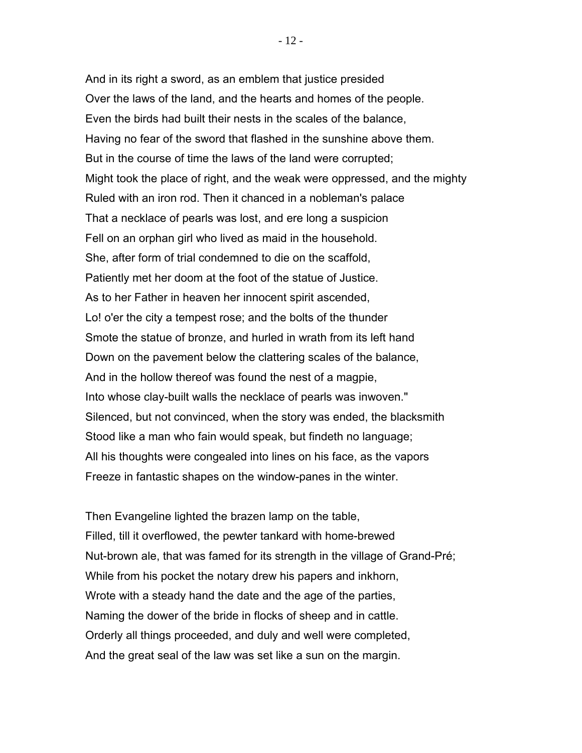And in its right a sword, as an emblem that justice presided Over the laws of the land, and the hearts and homes of the people. Even the birds had built their nests in the scales of the balance, Having no fear of the sword that flashed in the sunshine above them. But in the course of time the laws of the land were corrupted; Might took the place of right, and the weak were oppressed, and the mighty Ruled with an iron rod. Then it chanced in a nobleman's palace That a necklace of pearls was lost, and ere long a suspicion Fell on an orphan girl who lived as maid in the household. She, after form of trial condemned to die on the scaffold, Patiently met her doom at the foot of the statue of Justice. As to her Father in heaven her innocent spirit ascended, Lo! o'er the city a tempest rose; and the bolts of the thunder Smote the statue of bronze, and hurled in wrath from its left hand Down on the pavement below the clattering scales of the balance, And in the hollow thereof was found the nest of a magpie, Into whose clay-built walls the necklace of pearls was inwoven." Silenced, but not convinced, when the story was ended, the blacksmith Stood like a man who fain would speak, but findeth no language; All his thoughts were congealed into lines on his face, as the vapors Freeze in fantastic shapes on the window-panes in the winter.

Then Evangeline lighted the brazen lamp on the table, Filled, till it overflowed, the pewter tankard with home-brewed Nut-brown ale, that was famed for its strength in the village of Grand-Pré; While from his pocket the notary drew his papers and inkhorn, Wrote with a steady hand the date and the age of the parties, Naming the dower of the bride in flocks of sheep and in cattle. Orderly all things proceeded, and duly and well were completed, And the great seal of the law was set like a sun on the margin.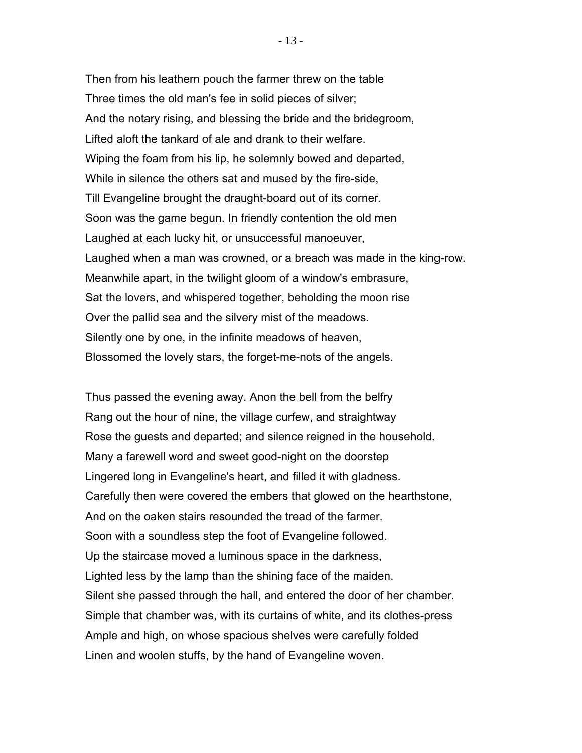Then from his leathern pouch the farmer threw on the table Three times the old man's fee in solid pieces of silver; And the notary rising, and blessing the bride and the bridegroom, Lifted aloft the tankard of ale and drank to their welfare. Wiping the foam from his lip, he solemnly bowed and departed, While in silence the others sat and mused by the fire-side, Till Evangeline brought the draught-board out of its corner. Soon was the game begun. In friendly contention the old men Laughed at each lucky hit, or unsuccessful manoeuver, Laughed when a man was crowned, or a breach was made in the king-row. Meanwhile apart, in the twilight gloom of a window's embrasure, Sat the lovers, and whispered together, beholding the moon rise Over the pallid sea and the silvery mist of the meadows. Silently one by one, in the infinite meadows of heaven, Blossomed the lovely stars, the forget-me-nots of the angels.

Thus passed the evening away. Anon the bell from the belfry Rang out the hour of nine, the village curfew, and straightway Rose the guests and departed; and silence reigned in the household. Many a farewell word and sweet good-night on the doorstep Lingered long in Evangeline's heart, and filled it with gladness. Carefully then were covered the embers that glowed on the hearthstone, And on the oaken stairs resounded the tread of the farmer. Soon with a soundless step the foot of Evangeline followed. Up the staircase moved a luminous space in the darkness, Lighted less by the lamp than the shining face of the maiden. Silent she passed through the hall, and entered the door of her chamber. Simple that chamber was, with its curtains of white, and its clothes-press Ample and high, on whose spacious shelves were carefully folded Linen and woolen stuffs, by the hand of Evangeline woven.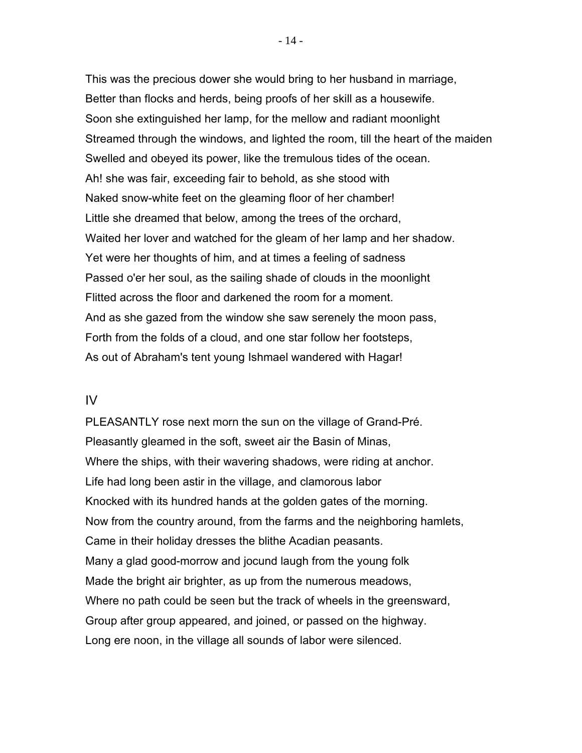This was the precious dower she would bring to her husband in marriage, Better than flocks and herds, being proofs of her skill as a housewife. Soon she extinguished her lamp, for the mellow and radiant moonlight Streamed through the windows, and lighted the room, till the heart of the maiden Swelled and obeyed its power, like the tremulous tides of the ocean. Ah! she was fair, exceeding fair to behold, as she stood with Naked snow-white feet on the gleaming floor of her chamber! Little she dreamed that below, among the trees of the orchard, Waited her lover and watched for the gleam of her lamp and her shadow. Yet were her thoughts of him, and at times a feeling of sadness Passed o'er her soul, as the sailing shade of clouds in the moonlight Flitted across the floor and darkened the room for a moment. And as she gazed from the window she saw serenely the moon pass, Forth from the folds of a cloud, and one star follow her footsteps, As out of Abraham's tent young Ishmael wandered with Hagar!

## IV

PLEASANTLY rose next morn the sun on the village of Grand-Pré. Pleasantly gleamed in the soft, sweet air the Basin of Minas, Where the ships, with their wavering shadows, were riding at anchor. Life had long been astir in the village, and clamorous labor Knocked with its hundred hands at the golden gates of the morning. Now from the country around, from the farms and the neighboring hamlets, Came in their holiday dresses the blithe Acadian peasants. Many a glad good-morrow and jocund laugh from the young folk Made the bright air brighter, as up from the numerous meadows, Where no path could be seen but the track of wheels in the greensward, Group after group appeared, and joined, or passed on the highway. Long ere noon, in the village all sounds of labor were silenced.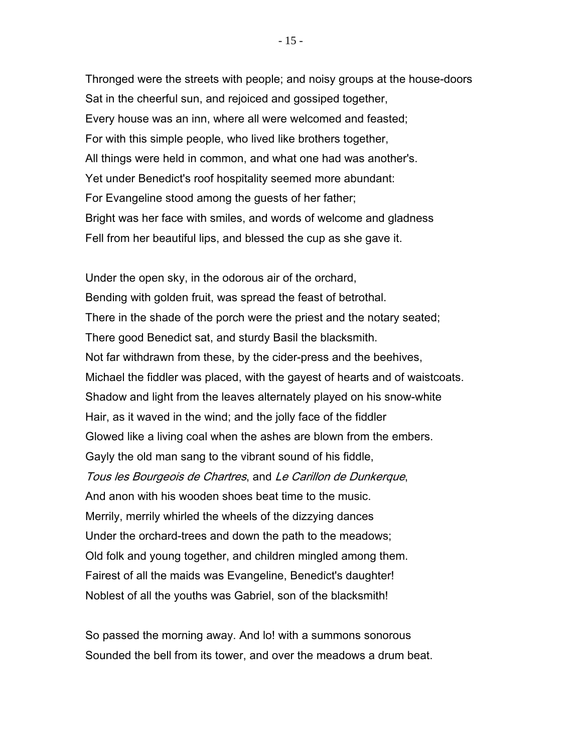Thronged were the streets with people; and noisy groups at the house-doors Sat in the cheerful sun, and rejoiced and gossiped together, Every house was an inn, where all were welcomed and feasted; For with this simple people, who lived like brothers together, All things were held in common, and what one had was another's. Yet under Benedict's roof hospitality seemed more abundant: For Evangeline stood among the guests of her father; Bright was her face with smiles, and words of welcome and gladness Fell from her beautiful lips, and blessed the cup as she gave it.

Under the open sky, in the odorous air of the orchard, Bending with golden fruit, was spread the feast of betrothal. There in the shade of the porch were the priest and the notary seated; There good Benedict sat, and sturdy Basil the blacksmith. Not far withdrawn from these, by the cider-press and the beehives, Michael the fiddler was placed, with the gayest of hearts and of waistcoats. Shadow and light from the leaves alternately played on his snow-white Hair, as it waved in the wind; and the jolly face of the fiddler Glowed like a living coal when the ashes are blown from the embers. Gayly the old man sang to the vibrant sound of his fiddle, Tous les Bourgeois de Chartres, and Le Carillon de Dunkerque, And anon with his wooden shoes beat time to the music. Merrily, merrily whirled the wheels of the dizzying dances Under the orchard-trees and down the path to the meadows; Old folk and young together, and children mingled among them. Fairest of all the maids was Evangeline, Benedict's daughter! Noblest of all the youths was Gabriel, son of the blacksmith!

So passed the morning away. And lo! with a summons sonorous Sounded the bell from its tower, and over the meadows a drum beat.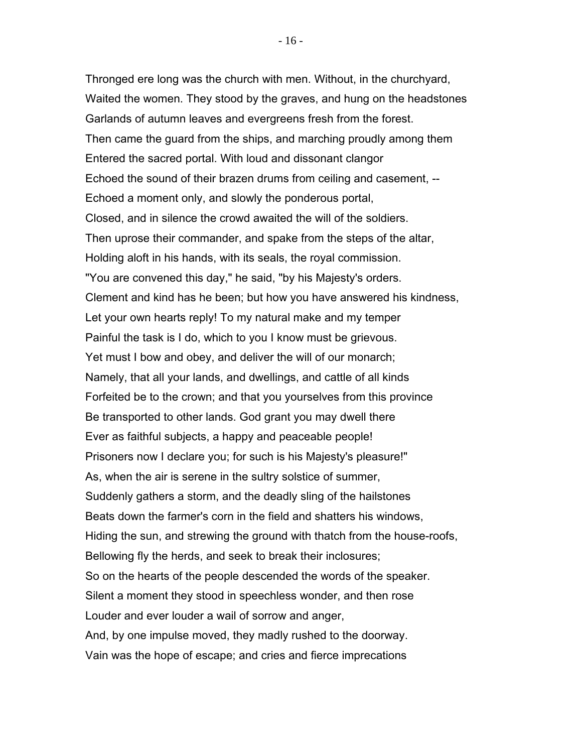Thronged ere long was the church with men. Without, in the churchyard, Waited the women. They stood by the graves, and hung on the headstones Garlands of autumn leaves and evergreens fresh from the forest. Then came the guard from the ships, and marching proudly among them Entered the sacred portal. With loud and dissonant clangor Echoed the sound of their brazen drums from ceiling and casement, -- Echoed a moment only, and slowly the ponderous portal, Closed, and in silence the crowd awaited the will of the soldiers. Then uprose their commander, and spake from the steps of the altar, Holding aloft in his hands, with its seals, the royal commission. "You are convened this day," he said, "by his Majesty's orders. Clement and kind has he been; but how you have answered his kindness, Let your own hearts reply! To my natural make and my temper Painful the task is I do, which to you I know must be grievous. Yet must I bow and obey, and deliver the will of our monarch; Namely, that all your lands, and dwellings, and cattle of all kinds Forfeited be to the crown; and that you yourselves from this province Be transported to other lands. God grant you may dwell there Ever as faithful subjects, a happy and peaceable people! Prisoners now I declare you; for such is his Majesty's pleasure!" As, when the air is serene in the sultry solstice of summer, Suddenly gathers a storm, and the deadly sling of the hailstones Beats down the farmer's corn in the field and shatters his windows, Hiding the sun, and strewing the ground with thatch from the house-roofs, Bellowing fly the herds, and seek to break their inclosures; So on the hearts of the people descended the words of the speaker. Silent a moment they stood in speechless wonder, and then rose Louder and ever louder a wail of sorrow and anger, And, by one impulse moved, they madly rushed to the doorway. Vain was the hope of escape; and cries and fierce imprecations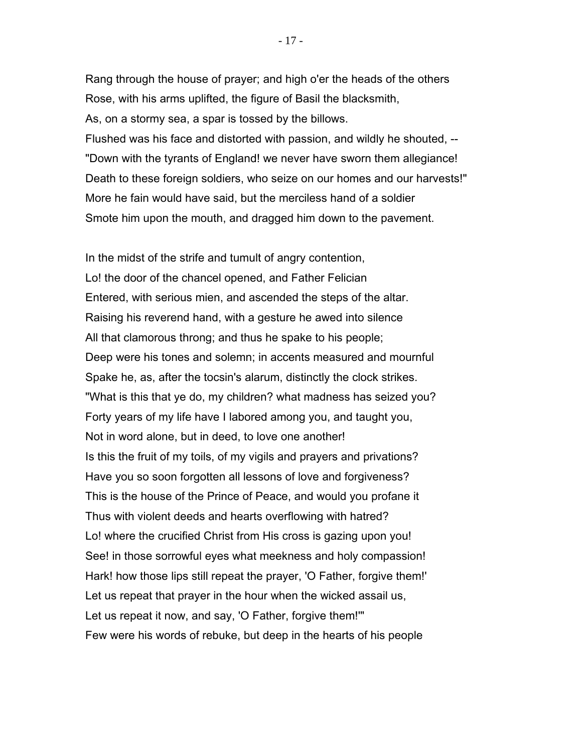Rang through the house of prayer; and high o'er the heads of the others Rose, with his arms uplifted, the figure of Basil the blacksmith, As, on a stormy sea, a spar is tossed by the billows. Flushed was his face and distorted with passion, and wildly he shouted, -- "Down with the tyrants of England! we never have sworn them allegiance! Death to these foreign soldiers, who seize on our homes and our harvests!" More he fain would have said, but the merciless hand of a soldier Smote him upon the mouth, and dragged him down to the pavement.

In the midst of the strife and tumult of angry contention, Lo! the door of the chancel opened, and Father Felician Entered, with serious mien, and ascended the steps of the altar. Raising his reverend hand, with a gesture he awed into silence All that clamorous throng; and thus he spake to his people; Deep were his tones and solemn; in accents measured and mournful Spake he, as, after the tocsin's alarum, distinctly the clock strikes. "What is this that ye do, my children? what madness has seized you? Forty years of my life have I labored among you, and taught you, Not in word alone, but in deed, to love one another! Is this the fruit of my toils, of my vigils and prayers and privations? Have you so soon forgotten all lessons of love and forgiveness? This is the house of the Prince of Peace, and would you profane it Thus with violent deeds and hearts overflowing with hatred? Lo! where the crucified Christ from His cross is gazing upon you! See! in those sorrowful eyes what meekness and holy compassion! Hark! how those lips still repeat the prayer, 'O Father, forgive them!' Let us repeat that prayer in the hour when the wicked assail us, Let us repeat it now, and say, 'O Father, forgive them!'" Few were his words of rebuke, but deep in the hearts of his people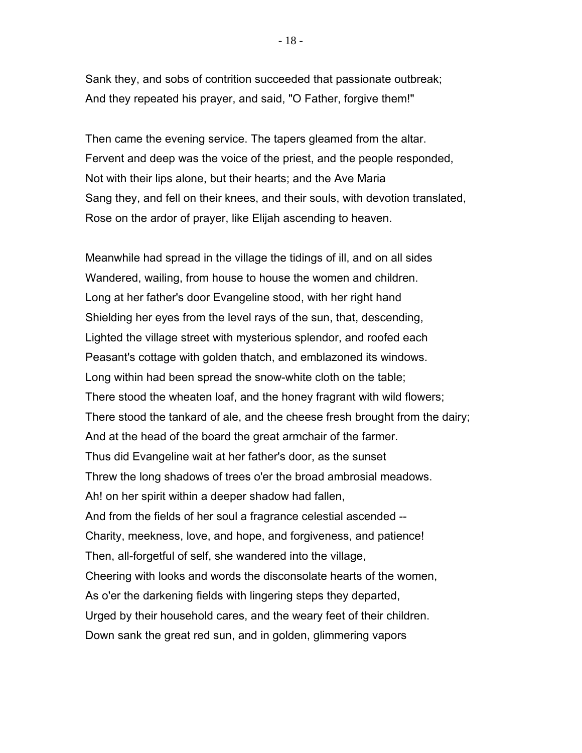Sank they, and sobs of contrition succeeded that passionate outbreak; And they repeated his prayer, and said, "O Father, forgive them!"

Then came the evening service. The tapers gleamed from the altar. Fervent and deep was the voice of the priest, and the people responded, Not with their lips alone, but their hearts; and the Ave Maria Sang they, and fell on their knees, and their souls, with devotion translated, Rose on the ardor of prayer, like Elijah ascending to heaven.

Meanwhile had spread in the village the tidings of ill, and on all sides Wandered, wailing, from house to house the women and children. Long at her father's door Evangeline stood, with her right hand Shielding her eyes from the level rays of the sun, that, descending, Lighted the village street with mysterious splendor, and roofed each Peasant's cottage with golden thatch, and emblazoned its windows. Long within had been spread the snow-white cloth on the table; There stood the wheaten loaf, and the honey fragrant with wild flowers; There stood the tankard of ale, and the cheese fresh brought from the dairy; And at the head of the board the great armchair of the farmer. Thus did Evangeline wait at her father's door, as the sunset Threw the long shadows of trees o'er the broad ambrosial meadows. Ah! on her spirit within a deeper shadow had fallen, And from the fields of her soul a fragrance celestial ascended -- Charity, meekness, love, and hope, and forgiveness, and patience! Then, all-forgetful of self, she wandered into the village, Cheering with looks and words the disconsolate hearts of the women, As o'er the darkening fields with lingering steps they departed, Urged by their household cares, and the weary feet of their children. Down sank the great red sun, and in golden, glimmering vapors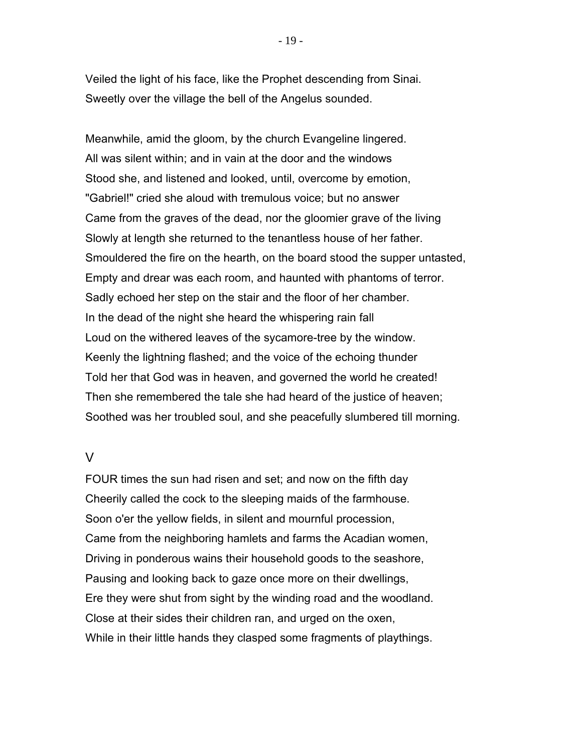Veiled the light of his face, like the Prophet descending from Sinai. Sweetly over the village the bell of the Angelus sounded.

Meanwhile, amid the gloom, by the church Evangeline lingered. All was silent within; and in vain at the door and the windows Stood she, and listened and looked, until, overcome by emotion, "Gabriel!" cried she aloud with tremulous voice; but no answer Came from the graves of the dead, nor the gloomier grave of the living Slowly at length she returned to the tenantless house of her father. Smouldered the fire on the hearth, on the board stood the supper untasted, Empty and drear was each room, and haunted with phantoms of terror. Sadly echoed her step on the stair and the floor of her chamber. In the dead of the night she heard the whispering rain fall Loud on the withered leaves of the sycamore-tree by the window. Keenly the lightning flashed; and the voice of the echoing thunder Told her that God was in heaven, and governed the world he created! Then she remembered the tale she had heard of the justice of heaven; Soothed was her troubled soul, and she peacefully slumbered till morning.

## $\overline{V}$

FOUR times the sun had risen and set; and now on the fifth day Cheerily called the cock to the sleeping maids of the farmhouse. Soon o'er the yellow fields, in silent and mournful procession, Came from the neighboring hamlets and farms the Acadian women, Driving in ponderous wains their household goods to the seashore, Pausing and looking back to gaze once more on their dwellings, Ere they were shut from sight by the winding road and the woodland. Close at their sides their children ran, and urged on the oxen, While in their little hands they clasped some fragments of playthings.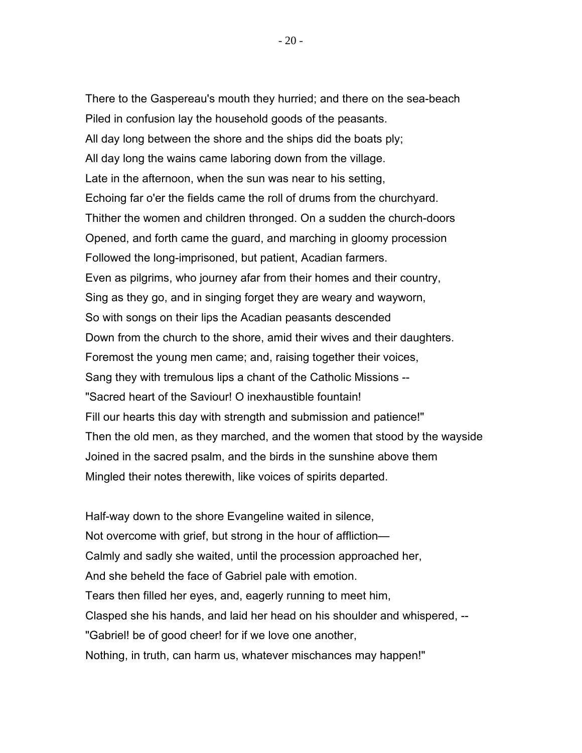There to the Gaspereau's mouth they hurried; and there on the sea-beach Piled in confusion lay the household goods of the peasants. All day long between the shore and the ships did the boats ply; All day long the wains came laboring down from the village. Late in the afternoon, when the sun was near to his setting, Echoing far o'er the fields came the roll of drums from the churchyard. Thither the women and children thronged. On a sudden the church-doors Opened, and forth came the guard, and marching in gloomy procession Followed the long-imprisoned, but patient, Acadian farmers. Even as pilgrims, who journey afar from their homes and their country, Sing as they go, and in singing forget they are weary and wayworn, So with songs on their lips the Acadian peasants descended Down from the church to the shore, amid their wives and their daughters. Foremost the young men came; and, raising together their voices, Sang they with tremulous lips a chant of the Catholic Missions -- "Sacred heart of the Saviour! O inexhaustible fountain! Fill our hearts this day with strength and submission and patience!" Then the old men, as they marched, and the women that stood by the wayside Joined in the sacred psalm, and the birds in the sunshine above them Mingled their notes therewith, like voices of spirits departed.

Half-way down to the shore Evangeline waited in silence, Not overcome with grief, but strong in the hour of affliction— Calmly and sadly she waited, until the procession approached her, And she beheld the face of Gabriel pale with emotion. Tears then filled her eyes, and, eagerly running to meet him, Clasped she his hands, and laid her head on his shoulder and whispered, -- "Gabriel! be of good cheer! for if we love one another, Nothing, in truth, can harm us, whatever mischances may happen!"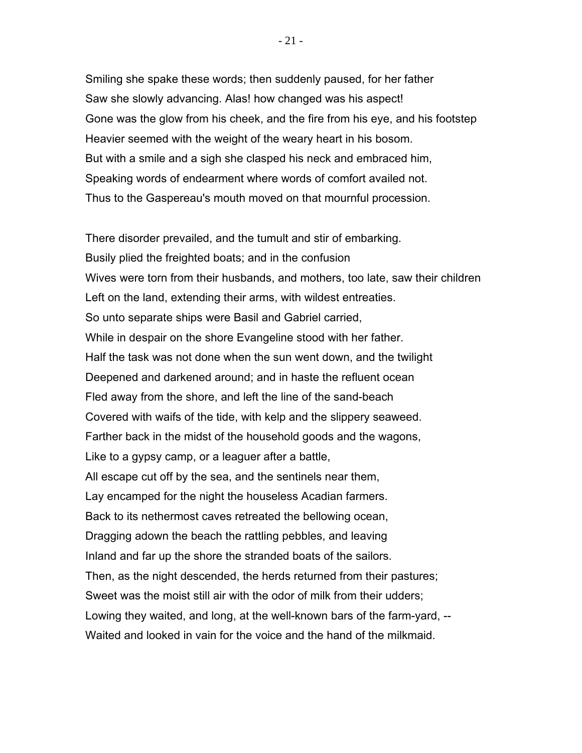Smiling she spake these words; then suddenly paused, for her father Saw she slowly advancing. Alas! how changed was his aspect! Gone was the glow from his cheek, and the fire from his eye, and his footstep Heavier seemed with the weight of the weary heart in his bosom. But with a smile and a sigh she clasped his neck and embraced him, Speaking words of endearment where words of comfort availed not. Thus to the Gaspereau's mouth moved on that mournful procession.

There disorder prevailed, and the tumult and stir of embarking. Busily plied the freighted boats; and in the confusion Wives were torn from their husbands, and mothers, too late, saw their children Left on the land, extending their arms, with wildest entreaties. So unto separate ships were Basil and Gabriel carried, While in despair on the shore Evangeline stood with her father. Half the task was not done when the sun went down, and the twilight Deepened and darkened around; and in haste the refluent ocean Fled away from the shore, and left the line of the sand-beach Covered with waifs of the tide, with kelp and the slippery seaweed. Farther back in the midst of the household goods and the wagons, Like to a gypsy camp, or a leaguer after a battle, All escape cut off by the sea, and the sentinels near them, Lay encamped for the night the houseless Acadian farmers. Back to its nethermost caves retreated the bellowing ocean, Dragging adown the beach the rattling pebbles, and leaving Inland and far up the shore the stranded boats of the sailors. Then, as the night descended, the herds returned from their pastures; Sweet was the moist still air with the odor of milk from their udders; Lowing they waited, and long, at the well-known bars of the farm-yard, -- Waited and looked in vain for the voice and the hand of the milkmaid.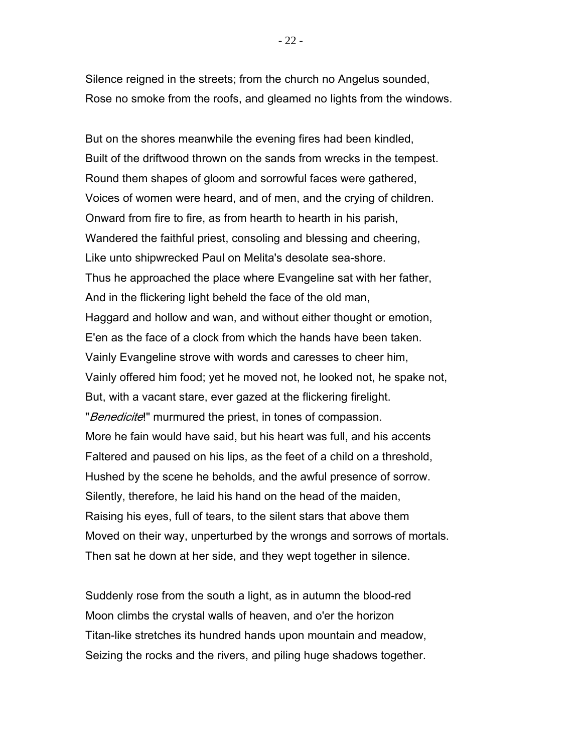Silence reigned in the streets; from the church no Angelus sounded, Rose no smoke from the roofs, and gleamed no lights from the windows.

But on the shores meanwhile the evening fires had been kindled, Built of the driftwood thrown on the sands from wrecks in the tempest. Round them shapes of gloom and sorrowful faces were gathered, Voices of women were heard, and of men, and the crying of children. Onward from fire to fire, as from hearth to hearth in his parish, Wandered the faithful priest, consoling and blessing and cheering, Like unto shipwrecked Paul on Melita's desolate sea-shore. Thus he approached the place where Evangeline sat with her father, And in the flickering light beheld the face of the old man, Haggard and hollow and wan, and without either thought or emotion, E'en as the face of a clock from which the hands have been taken. Vainly Evangeline strove with words and caresses to cheer him, Vainly offered him food; yet he moved not, he looked not, he spake not, But, with a vacant stare, ever gazed at the flickering firelight. "Benedicite!" murmured the priest, in tones of compassion. More he fain would have said, but his heart was full, and his accents Faltered and paused on his lips, as the feet of a child on a threshold, Hushed by the scene he beholds, and the awful presence of sorrow. Silently, therefore, he laid his hand on the head of the maiden, Raising his eyes, full of tears, to the silent stars that above them Moved on their way, unperturbed by the wrongs and sorrows of mortals. Then sat he down at her side, and they wept together in silence.

Suddenly rose from the south a light, as in autumn the blood-red Moon climbs the crystal walls of heaven, and o'er the horizon Titan-like stretches its hundred hands upon mountain and meadow, Seizing the rocks and the rivers, and piling huge shadows together.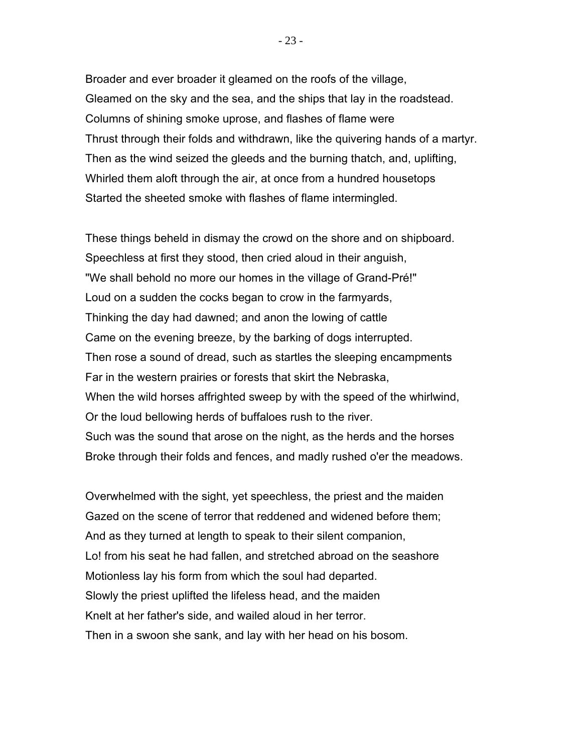Broader and ever broader it gleamed on the roofs of the village, Gleamed on the sky and the sea, and the ships that lay in the roadstead. Columns of shining smoke uprose, and flashes of flame were Thrust through their folds and withdrawn, like the quivering hands of a martyr. Then as the wind seized the gleeds and the burning thatch, and, uplifting, Whirled them aloft through the air, at once from a hundred housetops Started the sheeted smoke with flashes of flame intermingled.

These things beheld in dismay the crowd on the shore and on shipboard. Speechless at first they stood, then cried aloud in their anguish, "We shall behold no more our homes in the village of Grand-Pré!" Loud on a sudden the cocks began to crow in the farmyards, Thinking the day had dawned; and anon the lowing of cattle Came on the evening breeze, by the barking of dogs interrupted. Then rose a sound of dread, such as startles the sleeping encampments Far in the western prairies or forests that skirt the Nebraska, When the wild horses affrighted sweep by with the speed of the whirlwind, Or the loud bellowing herds of buffaloes rush to the river. Such was the sound that arose on the night, as the herds and the horses Broke through their folds and fences, and madly rushed o'er the meadows.

Overwhelmed with the sight, yet speechless, the priest and the maiden Gazed on the scene of terror that reddened and widened before them; And as they turned at length to speak to their silent companion, Lo! from his seat he had fallen, and stretched abroad on the seashore Motionless lay his form from which the soul had departed. Slowly the priest uplifted the lifeless head, and the maiden Knelt at her father's side, and wailed aloud in her terror. Then in a swoon she sank, and lay with her head on his bosom.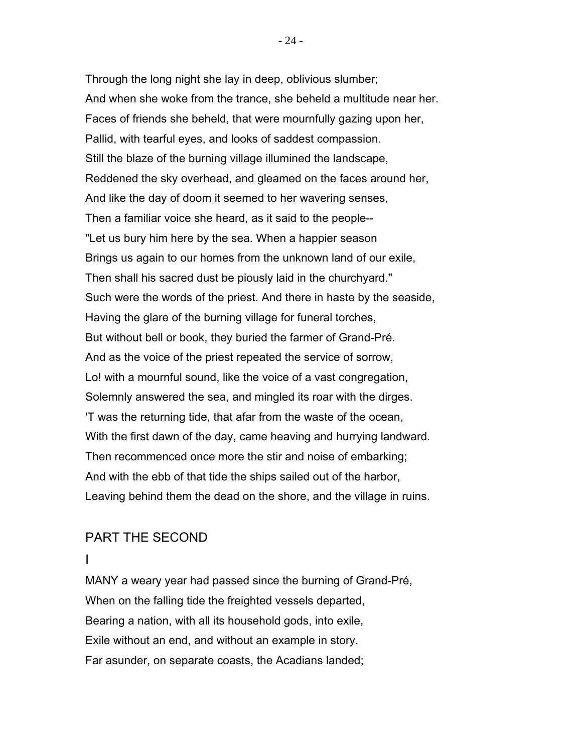Through the long night she lay in deep, oblivious slumber; And when she woke from the trance, she beheld a multitude near her. Faces of friends she beheld, that were mournfully gazing upon her, Pallid, with tearful eyes, and looks of saddest compassion. Still the blaze of the burning village illumined the landscape, Reddened the sky overhead, and gleamed on the faces around her, And like the day of doom it seemed to her wavering senses, Then a familiar voice she heard, as it said to the people-- "Let us bury him here by the sea. When a happier season Brings us again to our homes from the unknown land of our exile, Then shall his sacred dust be piously laid in the churchyard." Such were the words of the priest. And there in haste by the seaside, Having the glare of the burning village for funeral torches, But without bell or book, they buried the farmer of Grand-Pré. And as the voice of the priest repeated the service of sorrow, Lo! with a mournful sound, like the voice of a vast congregation, Solemnly answered the sea, and mingled its roar with the dirges. 'T was the returning tide, that afar from the waste of the ocean, With the first dawn of the day, came heaving and hurrying landward. Then recommenced once more the stir and noise of embarking; And with the ebb of that tide the ships sailed out of the harbor, Leaving behind them the dead on the shore, and the village in ruins.

# PART THE SECOND

I

MANY a weary year had passed since the burning of Grand-Pré, When on the falling tide the freighted vessels departed, Bearing a nation, with all its household gods, into exile, Exile without an end, and without an example in story. Far asunder, on separate coasts, the Acadians landed;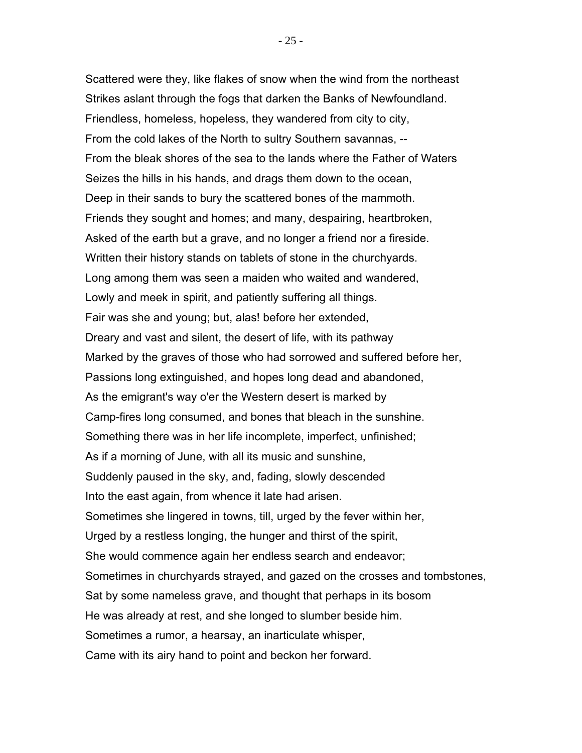Scattered were they, like flakes of snow when the wind from the northeast Strikes aslant through the fogs that darken the Banks of Newfoundland. Friendless, homeless, hopeless, they wandered from city to city, From the cold lakes of the North to sultry Southern savannas, -- From the bleak shores of the sea to the lands where the Father of Waters Seizes the hills in his hands, and drags them down to the ocean, Deep in their sands to bury the scattered bones of the mammoth. Friends they sought and homes; and many, despairing, heartbroken, Asked of the earth but a grave, and no longer a friend nor a fireside. Written their history stands on tablets of stone in the churchyards. Long among them was seen a maiden who waited and wandered, Lowly and meek in spirit, and patiently suffering all things. Fair was she and young; but, alas! before her extended, Dreary and vast and silent, the desert of life, with its pathway Marked by the graves of those who had sorrowed and suffered before her, Passions long extinguished, and hopes long dead and abandoned, As the emigrant's way o'er the Western desert is marked by Camp-fires long consumed, and bones that bleach in the sunshine. Something there was in her life incomplete, imperfect, unfinished; As if a morning of June, with all its music and sunshine, Suddenly paused in the sky, and, fading, slowly descended Into the east again, from whence it late had arisen. Sometimes she lingered in towns, till, urged by the fever within her, Urged by a restless longing, the hunger and thirst of the spirit, She would commence again her endless search and endeavor; Sometimes in churchyards strayed, and gazed on the crosses and tombstones, Sat by some nameless grave, and thought that perhaps in its bosom He was already at rest, and she longed to slumber beside him. Sometimes a rumor, a hearsay, an inarticulate whisper, Came with its airy hand to point and beckon her forward.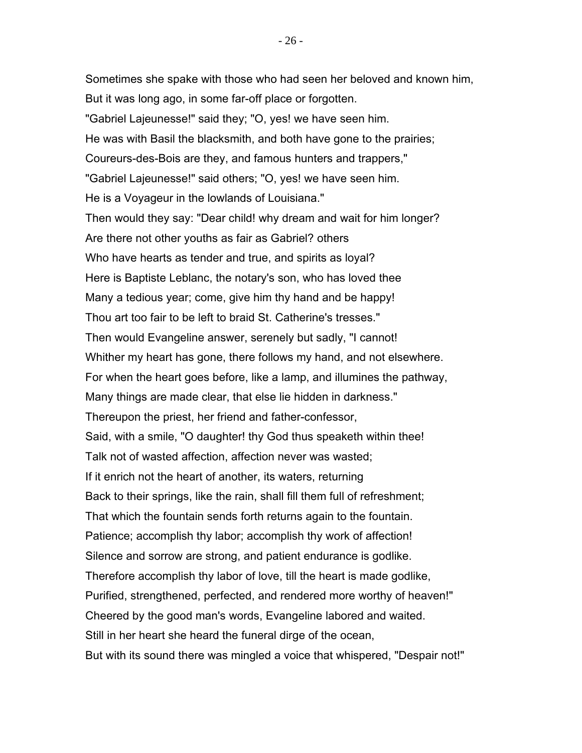Sometimes she spake with those who had seen her beloved and known him, But it was long ago, in some far-off place or forgotten. "Gabriel Lajeunesse!" said they; "O, yes! we have seen him. He was with Basil the blacksmith, and both have gone to the prairies; Coureurs-des-Bois are they, and famous hunters and trappers," "Gabriel Lajeunesse!" said others; "O, yes! we have seen him. He is a Voyageur in the lowlands of Louisiana." Then would they say: "Dear child! why dream and wait for him longer? Are there not other youths as fair as Gabriel? others Who have hearts as tender and true, and spirits as loyal? Here is Baptiste Leblanc, the notary's son, who has loved thee Many a tedious year; come, give him thy hand and be happy! Thou art too fair to be left to braid St. Catherine's tresses." Then would Evangeline answer, serenely but sadly, "I cannot! Whither my heart has gone, there follows my hand, and not elsewhere. For when the heart goes before, like a lamp, and illumines the pathway, Many things are made clear, that else lie hidden in darkness." Thereupon the priest, her friend and father-confessor, Said, with a smile, "O daughter! thy God thus speaketh within thee! Talk not of wasted affection, affection never was wasted; If it enrich not the heart of another, its waters, returning Back to their springs, like the rain, shall fill them full of refreshment; That which the fountain sends forth returns again to the fountain. Patience; accomplish thy labor; accomplish thy work of affection! Silence and sorrow are strong, and patient endurance is godlike. Therefore accomplish thy labor of love, till the heart is made godlike, Purified, strengthened, perfected, and rendered more worthy of heaven!" Cheered by the good man's words, Evangeline labored and waited. Still in her heart she heard the funeral dirge of the ocean, But with its sound there was mingled a voice that whispered, "Despair not!"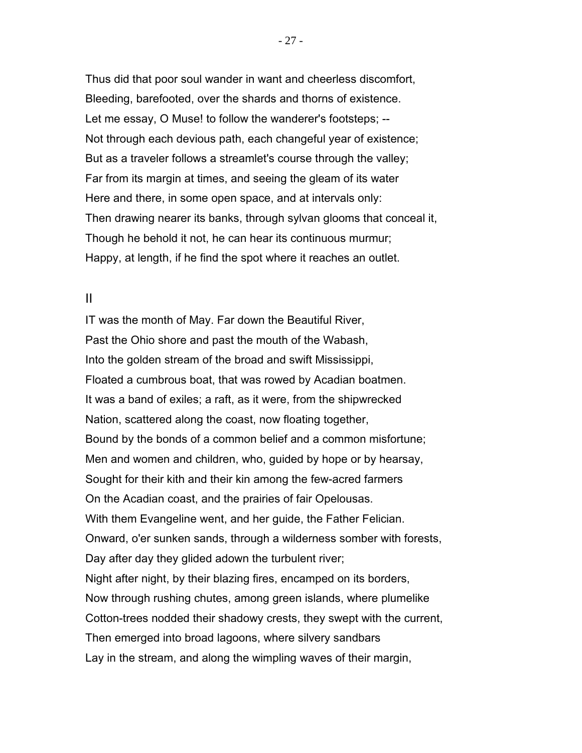Thus did that poor soul wander in want and cheerless discomfort, Bleeding, barefooted, over the shards and thorns of existence. Let me essay, O Muse! to follow the wanderer's footsteps; -- Not through each devious path, each changeful year of existence; But as a traveler follows a streamlet's course through the valley; Far from its margin at times, and seeing the gleam of its water Here and there, in some open space, and at intervals only: Then drawing nearer its banks, through sylvan glooms that conceal it, Though he behold it not, he can hear its continuous murmur; Happy, at length, if he find the spot where it reaches an outlet.

### II

IT was the month of May. Far down the Beautiful River, Past the Ohio shore and past the mouth of the Wabash, Into the golden stream of the broad and swift Mississippi, Floated a cumbrous boat, that was rowed by Acadian boatmen. It was a band of exiles; a raft, as it were, from the shipwrecked Nation, scattered along the coast, now floating together, Bound by the bonds of a common belief and a common misfortune; Men and women and children, who, guided by hope or by hearsay, Sought for their kith and their kin among the few-acred farmers On the Acadian coast, and the prairies of fair Opelousas. With them Evangeline went, and her guide, the Father Felician. Onward, o'er sunken sands, through a wilderness somber with forests, Day after day they glided adown the turbulent river; Night after night, by their blazing fires, encamped on its borders, Now through rushing chutes, among green islands, where plumelike Cotton-trees nodded their shadowy crests, they swept with the current, Then emerged into broad lagoons, where silvery sandbars Lay in the stream, and along the wimpling waves of their margin,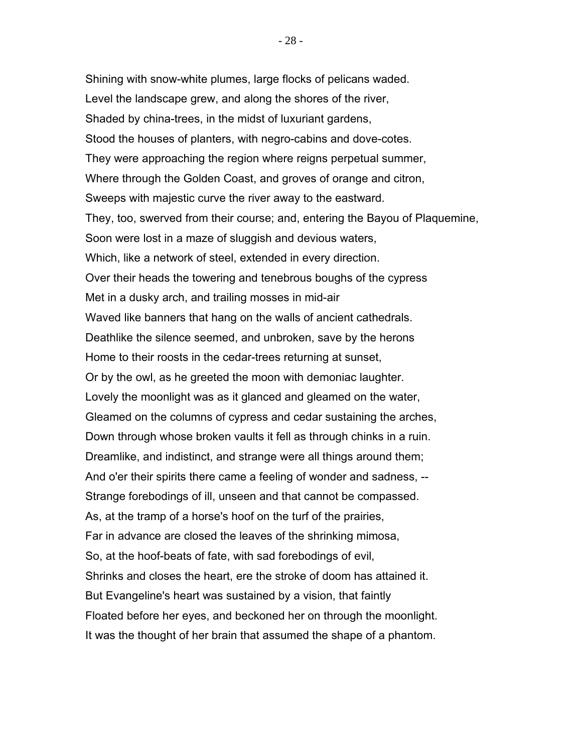Shining with snow-white plumes, large flocks of pelicans waded. Level the landscape grew, and along the shores of the river, Shaded by china-trees, in the midst of luxuriant gardens, Stood the houses of planters, with negro-cabins and dove-cotes. They were approaching the region where reigns perpetual summer, Where through the Golden Coast, and groves of orange and citron, Sweeps with majestic curve the river away to the eastward. They, too, swerved from their course; and, entering the Bayou of Plaquemine, Soon were lost in a maze of sluggish and devious waters, Which, like a network of steel, extended in every direction. Over their heads the towering and tenebrous boughs of the cypress Met in a dusky arch, and trailing mosses in mid-air Waved like banners that hang on the walls of ancient cathedrals. Deathlike the silence seemed, and unbroken, save by the herons Home to their roosts in the cedar-trees returning at sunset, Or by the owl, as he greeted the moon with demoniac laughter. Lovely the moonlight was as it glanced and gleamed on the water, Gleamed on the columns of cypress and cedar sustaining the arches, Down through whose broken vaults it fell as through chinks in a ruin. Dreamlike, and indistinct, and strange were all things around them; And o'er their spirits there came a feeling of wonder and sadness, -- Strange forebodings of ill, unseen and that cannot be compassed. As, at the tramp of a horse's hoof on the turf of the prairies, Far in advance are closed the leaves of the shrinking mimosa, So, at the hoof-beats of fate, with sad forebodings of evil, Shrinks and closes the heart, ere the stroke of doom has attained it. But Evangeline's heart was sustained by a vision, that faintly Floated before her eyes, and beckoned her on through the moonlight. It was the thought of her brain that assumed the shape of a phantom.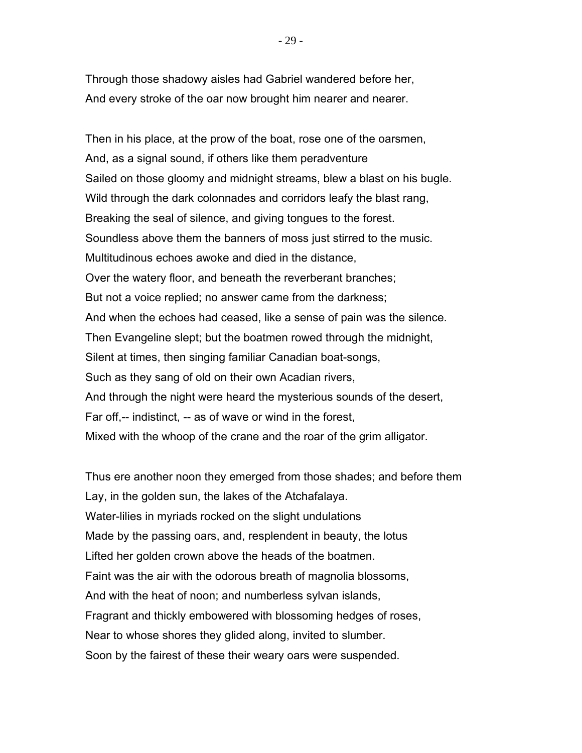Through those shadowy aisles had Gabriel wandered before her, And every stroke of the oar now brought him nearer and nearer.

Then in his place, at the prow of the boat, rose one of the oarsmen, And, as a signal sound, if others like them peradventure Sailed on those gloomy and midnight streams, blew a blast on his bugle. Wild through the dark colonnades and corridors leafy the blast rang, Breaking the seal of silence, and giving tongues to the forest. Soundless above them the banners of moss just stirred to the music. Multitudinous echoes awoke and died in the distance, Over the watery floor, and beneath the reverberant branches; But not a voice replied; no answer came from the darkness; And when the echoes had ceased, like a sense of pain was the silence. Then Evangeline slept; but the boatmen rowed through the midnight, Silent at times, then singing familiar Canadian boat-songs, Such as they sang of old on their own Acadian rivers, And through the night were heard the mysterious sounds of the desert, Far off,-- indistinct, -- as of wave or wind in the forest, Mixed with the whoop of the crane and the roar of the grim alligator.

Thus ere another noon they emerged from those shades; and before them Lay, in the golden sun, the lakes of the Atchafalaya. Water-lilies in myriads rocked on the slight undulations Made by the passing oars, and, resplendent in beauty, the lotus Lifted her golden crown above the heads of the boatmen. Faint was the air with the odorous breath of magnolia blossoms, And with the heat of noon; and numberless sylvan islands, Fragrant and thickly embowered with blossoming hedges of roses, Near to whose shores they glided along, invited to slumber. Soon by the fairest of these their weary oars were suspended.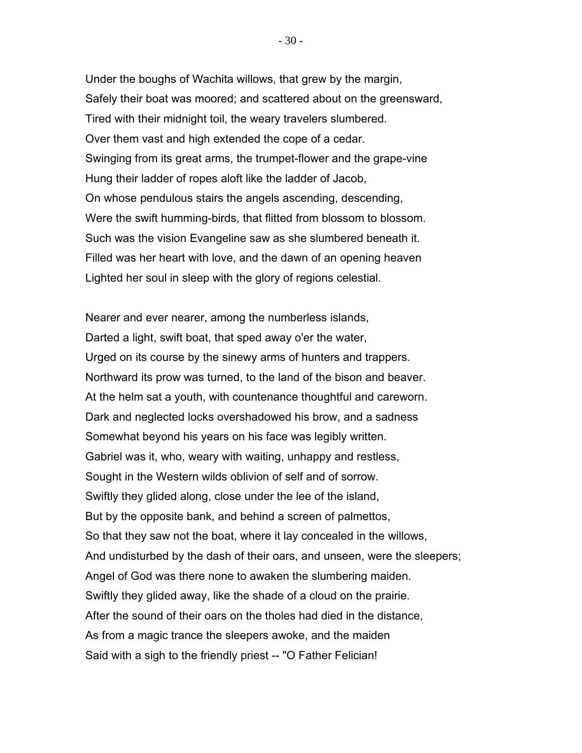Under the boughs of Wachita willows, that grew by the margin, Safely their boat was moored; and scattered about on the greensward, Tired with their midnight toil, the weary travelers slumbered. Over them vast and high extended the cope of a cedar. Swinging from its great arms, the trumpet-flower and the grape-vine Hung their ladder of ropes aloft like the ladder of Jacob, On whose pendulous stairs the angels ascending, descending, Were the swift humming-birds, that flitted from blossom to blossom. Such was the vision Evangeline saw as she slumbered beneath it. Filled was her heart with love, and the dawn of an opening heaven Lighted her soul in sleep with the glory of regions celestial.

Nearer and ever nearer, among the numberless islands, Darted a light, swift boat, that sped away o'er the water, Urged on its course by the sinewy arms of hunters and trappers. Northward its prow was turned, to the land of the bison and beaver. At the helm sat a youth, with countenance thoughtful and careworn. Dark and neglected locks overshadowed his brow, and a sadness Somewhat beyond his years on his face was legibly written. Gabriel was it, who, weary with waiting, unhappy and restless, Sought in the Western wilds oblivion of self and of sorrow. Swiftly they glided along, close under the lee of the island, But by the opposite bank, and behind a screen of palmettos, So that they saw not the boat, where it lay concealed in the willows, And undisturbed by the dash of their oars, and unseen, were the sleepers; Angel of God was there none to awaken the slumbering maiden. Swiftly they glided away, like the shade of a cloud on the prairie. After the sound of their oars on the tholes had died in the distance, As from a magic trance the sleepers awoke, and the maiden Said with a sigh to the friendly priest -- "O Father Felician!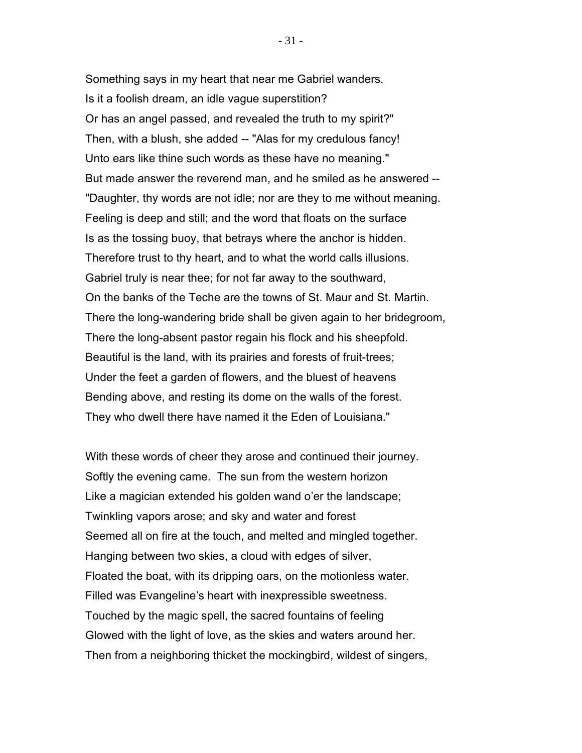Something says in my heart that near me Gabriel wanders. Is it a foolish dream, an idle vague superstition? Or has an angel passed, and revealed the truth to my spirit?" Then, with a blush, she added -- "Alas for my credulous fancy! Unto ears like thine such words as these have no meaning." But made answer the reverend man, and he smiled as he answered -- "Daughter, thy words are not idle; nor are they to me without meaning. Feeling is deep and still; and the word that floats on the surface Is as the tossing buoy, that betrays where the anchor is hidden. Therefore trust to thy heart, and to what the world calls illusions. Gabriel truly is near thee; for not far away to the southward, On the banks of the Teche are the towns of St. Maur and St. Martin. There the long-wandering bride shall be given again to her bridegroom, There the long-absent pastor regain his flock and his sheepfold. Beautiful is the land, with its prairies and forests of fruit-trees; Under the feet a garden of flowers, and the bluest of heavens Bending above, and resting its dome on the walls of the forest. They who dwell there have named it the Eden of Louisiana."

With these words of cheer they arose and continued their journey. Softly the evening came. The sun from the western horizon Like a magician extended his golden wand o'er the landscape; Twinkling vapors arose; and sky and water and forest Seemed all on fire at the touch, and melted and mingled together. Hanging between two skies, a cloud with edges of silver, Floated the boat, with its dripping oars, on the motionless water. Filled was Evangeline's heart with inexpressible sweetness. Touched by the magic spell, the sacred fountains of feeling Glowed with the light of love, as the skies and waters around her. Then from a neighboring thicket the mockingbird, wildest of singers,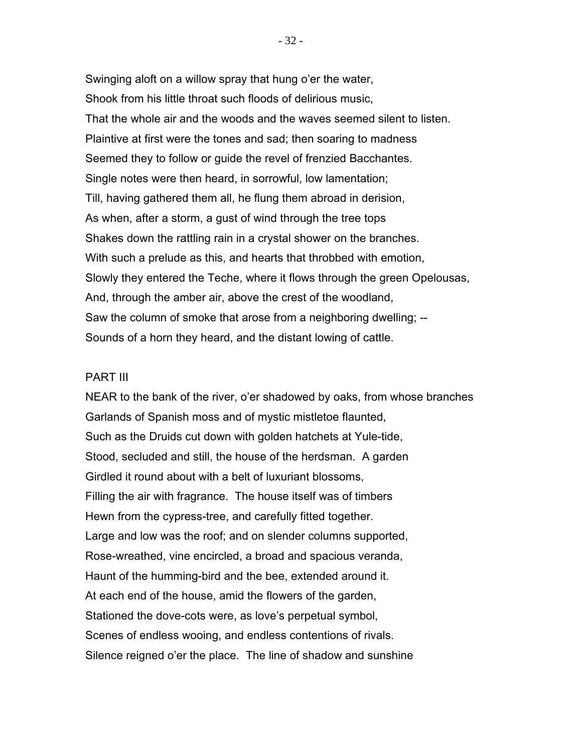Swinging aloft on a willow spray that hung o'er the water, Shook from his little throat such floods of delirious music, That the whole air and the woods and the waves seemed silent to listen. Plaintive at first were the tones and sad; then soaring to madness Seemed they to follow or guide the revel of frenzied Bacchantes. Single notes were then heard, in sorrowful, low lamentation; Till, having gathered them all, he flung them abroad in derision, As when, after a storm, a gust of wind through the tree tops Shakes down the rattling rain in a crystal shower on the branches. With such a prelude as this, and hearts that throbbed with emotion, Slowly they entered the Teche, where it flows through the green Opelousas, And, through the amber air, above the crest of the woodland, Saw the column of smoke that arose from a neighboring dwelling; -- Sounds of a horn they heard, and the distant lowing of cattle.

#### PART III

NEAR to the bank of the river, o'er shadowed by oaks, from whose branches Garlands of Spanish moss and of mystic mistletoe flaunted, Such as the Druids cut down with golden hatchets at Yule-tide, Stood, secluded and still, the house of the herdsman. A garden Girdled it round about with a belt of luxuriant blossoms, Filling the air with fragrance. The house itself was of timbers Hewn from the cypress-tree, and carefully fitted together. Large and low was the roof; and on slender columns supported, Rose-wreathed, vine encircled, a broad and spacious veranda, Haunt of the humming-bird and the bee, extended around it. At each end of the house, amid the flowers of the garden, Stationed the dove-cots were, as love's perpetual symbol, Scenes of endless wooing, and endless contentions of rivals. Silence reigned o'er the place. The line of shadow and sunshine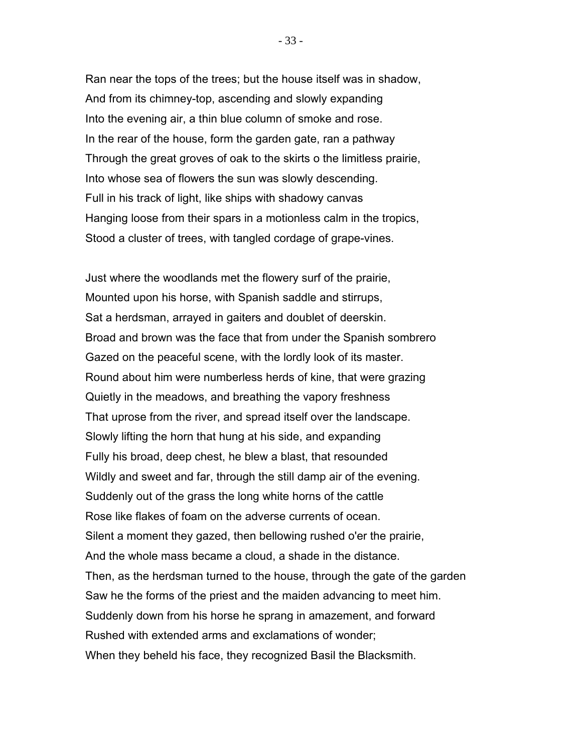Ran near the tops of the trees; but the house itself was in shadow, And from its chimney-top, ascending and slowly expanding Into the evening air, a thin blue column of smoke and rose. In the rear of the house, form the garden gate, ran a pathway Through the great groves of oak to the skirts o the limitless prairie, Into whose sea of flowers the sun was slowly descending. Full in his track of light, like ships with shadowy canvas Hanging loose from their spars in a motionless calm in the tropics, Stood a cluster of trees, with tangled cordage of grape-vines.

Just where the woodlands met the flowery surf of the prairie, Mounted upon his horse, with Spanish saddle and stirrups, Sat a herdsman, arrayed in gaiters and doublet of deerskin. Broad and brown was the face that from under the Spanish sombrero Gazed on the peaceful scene, with the lordly look of its master. Round about him were numberless herds of kine, that were grazing Quietly in the meadows, and breathing the vapory freshness That uprose from the river, and spread itself over the landscape. Slowly lifting the horn that hung at his side, and expanding Fully his broad, deep chest, he blew a blast, that resounded Wildly and sweet and far, through the still damp air of the evening. Suddenly out of the grass the long white horns of the cattle Rose like flakes of foam on the adverse currents of ocean. Silent a moment they gazed, then bellowing rushed o'er the prairie, And the whole mass became a cloud, a shade in the distance. Then, as the herdsman turned to the house, through the gate of the garden Saw he the forms of the priest and the maiden advancing to meet him. Suddenly down from his horse he sprang in amazement, and forward Rushed with extended arms and exclamations of wonder; When they beheld his face, they recognized Basil the Blacksmith.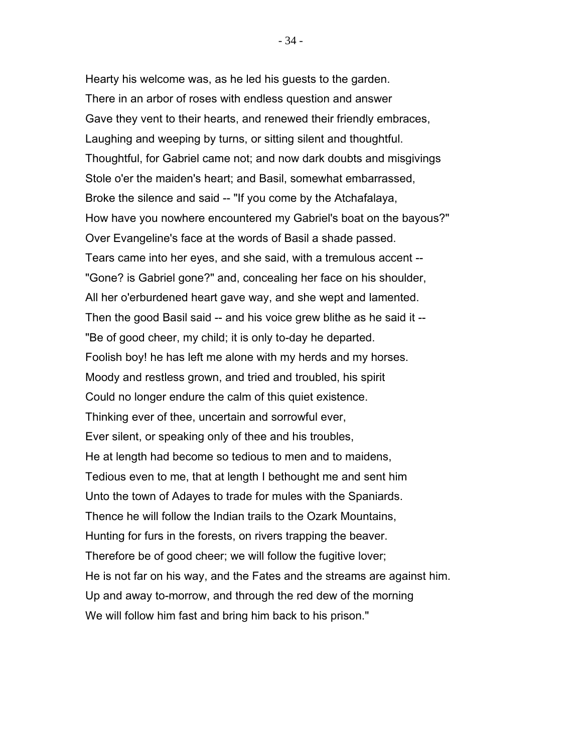Hearty his welcome was, as he led his guests to the garden. There in an arbor of roses with endless question and answer Gave they vent to their hearts, and renewed their friendly embraces, Laughing and weeping by turns, or sitting silent and thoughtful. Thoughtful, for Gabriel came not; and now dark doubts and misgivings Stole o'er the maiden's heart; and Basil, somewhat embarrassed, Broke the silence and said -- "If you come by the Atchafalaya, How have you nowhere encountered my Gabriel's boat on the bayous?" Over Evangeline's face at the words of Basil a shade passed. Tears came into her eyes, and she said, with a tremulous accent -- "Gone? is Gabriel gone?" and, concealing her face on his shoulder, All her o'erburdened heart gave way, and she wept and lamented. Then the good Basil said -- and his voice grew blithe as he said it -- "Be of good cheer, my child; it is only to-day he departed. Foolish boy! he has left me alone with my herds and my horses. Moody and restless grown, and tried and troubled, his spirit Could no longer endure the calm of this quiet existence. Thinking ever of thee, uncertain and sorrowful ever, Ever silent, or speaking only of thee and his troubles, He at length had become so tedious to men and to maidens, Tedious even to me, that at length I bethought me and sent him Unto the town of Adayes to trade for mules with the Spaniards. Thence he will follow the Indian trails to the Ozark Mountains, Hunting for furs in the forests, on rivers trapping the beaver. Therefore be of good cheer; we will follow the fugitive lover; He is not far on his way, and the Fates and the streams are against him. Up and away to-morrow, and through the red dew of the morning We will follow him fast and bring him back to his prison."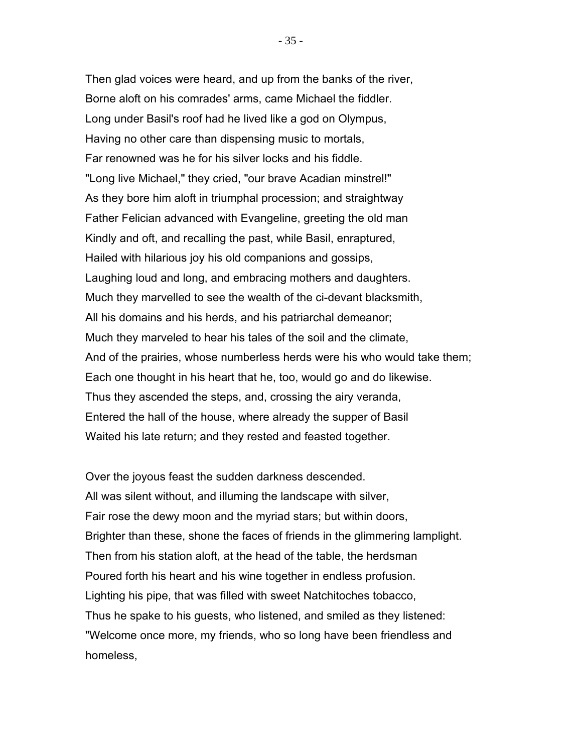Then glad voices were heard, and up from the banks of the river, Borne aloft on his comrades' arms, came Michael the fiddler. Long under Basil's roof had he lived like a god on Olympus, Having no other care than dispensing music to mortals, Far renowned was he for his silver locks and his fiddle. "Long live Michael," they cried, "our brave Acadian minstrel!" As they bore him aloft in triumphal procession; and straightway Father Felician advanced with Evangeline, greeting the old man Kindly and oft, and recalling the past, while Basil, enraptured, Hailed with hilarious joy his old companions and gossips, Laughing loud and long, and embracing mothers and daughters. Much they marvelled to see the wealth of the ci-devant blacksmith, All his domains and his herds, and his patriarchal demeanor; Much they marveled to hear his tales of the soil and the climate, And of the prairies, whose numberless herds were his who would take them; Each one thought in his heart that he, too, would go and do likewise. Thus they ascended the steps, and, crossing the airy veranda, Entered the hall of the house, where already the supper of Basil Waited his late return; and they rested and feasted together.

Over the joyous feast the sudden darkness descended. All was silent without, and illuming the landscape with silver, Fair rose the dewy moon and the myriad stars; but within doors, Brighter than these, shone the faces of friends in the glimmering lamplight. Then from his station aloft, at the head of the table, the herdsman Poured forth his heart and his wine together in endless profusion. Lighting his pipe, that was filled with sweet Natchitoches tobacco, Thus he spake to his guests, who listened, and smiled as they listened: "Welcome once more, my friends, who so long have been friendless and homeless,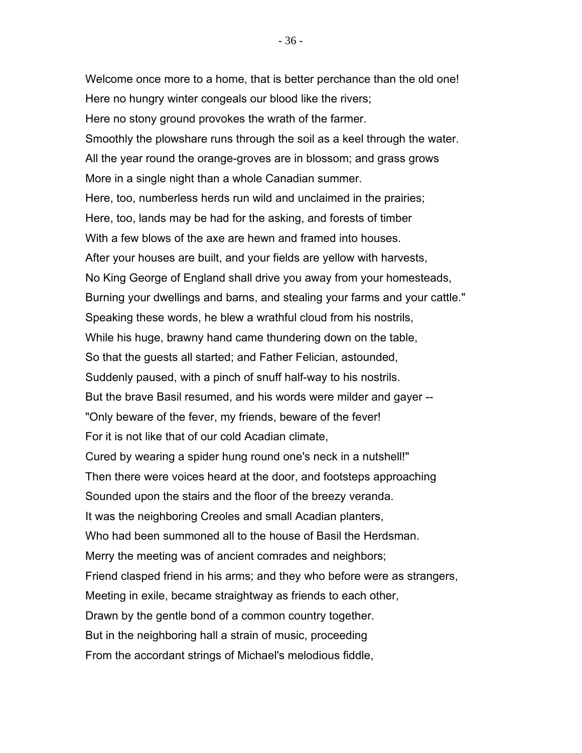Welcome once more to a home, that is better perchance than the old one! Here no hungry winter congeals our blood like the rivers; Here no stony ground provokes the wrath of the farmer. Smoothly the plowshare runs through the soil as a keel through the water. All the year round the orange-groves are in blossom; and grass grows More in a single night than a whole Canadian summer. Here, too, numberless herds run wild and unclaimed in the prairies; Here, too, lands may be had for the asking, and forests of timber With a few blows of the axe are hewn and framed into houses. After your houses are built, and your fields are yellow with harvests, No King George of England shall drive you away from your homesteads, Burning your dwellings and barns, and stealing your farms and your cattle." Speaking these words, he blew a wrathful cloud from his nostrils, While his huge, brawny hand came thundering down on the table, So that the guests all started; and Father Felician, astounded, Suddenly paused, with a pinch of snuff half-way to his nostrils. But the brave Basil resumed, and his words were milder and gayer -- "Only beware of the fever, my friends, beware of the fever! For it is not like that of our cold Acadian climate, Cured by wearing a spider hung round one's neck in a nutshell!" Then there were voices heard at the door, and footsteps approaching Sounded upon the stairs and the floor of the breezy veranda. It was the neighboring Creoles and small Acadian planters, Who had been summoned all to the house of Basil the Herdsman. Merry the meeting was of ancient comrades and neighbors; Friend clasped friend in his arms; and they who before were as strangers, Meeting in exile, became straightway as friends to each other, Drawn by the gentle bond of a common country together. But in the neighboring hall a strain of music, proceeding From the accordant strings of Michael's melodious fiddle,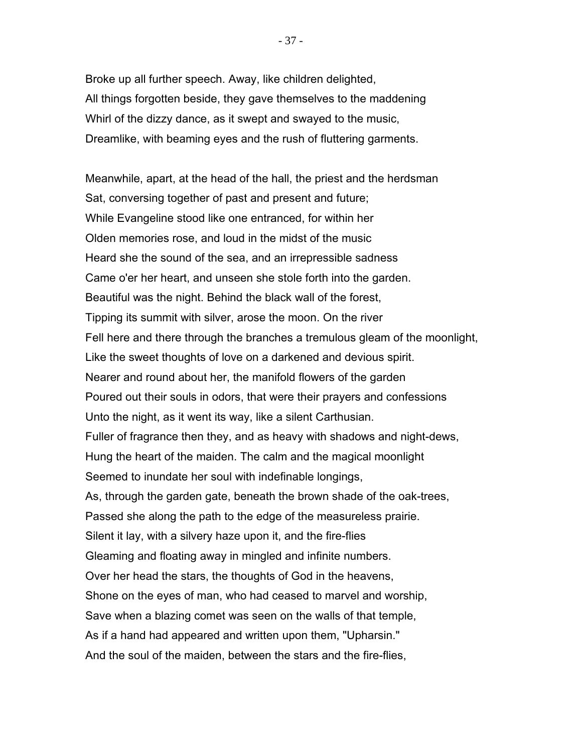Broke up all further speech. Away, like children delighted, All things forgotten beside, they gave themselves to the maddening Whirl of the dizzy dance, as it swept and swayed to the music, Dreamlike, with beaming eyes and the rush of fluttering garments.

Meanwhile, apart, at the head of the hall, the priest and the herdsman Sat, conversing together of past and present and future; While Evangeline stood like one entranced, for within her Olden memories rose, and loud in the midst of the music Heard she the sound of the sea, and an irrepressible sadness Came o'er her heart, and unseen she stole forth into the garden. Beautiful was the night. Behind the black wall of the forest, Tipping its summit with silver, arose the moon. On the river Fell here and there through the branches a tremulous gleam of the moonlight, Like the sweet thoughts of love on a darkened and devious spirit. Nearer and round about her, the manifold flowers of the garden Poured out their souls in odors, that were their prayers and confessions Unto the night, as it went its way, like a silent Carthusian. Fuller of fragrance then they, and as heavy with shadows and night-dews, Hung the heart of the maiden. The calm and the magical moonlight Seemed to inundate her soul with indefinable longings, As, through the garden gate, beneath the brown shade of the oak-trees, Passed she along the path to the edge of the measureless prairie. Silent it lay, with a silvery haze upon it, and the fire-flies Gleaming and floating away in mingled and infinite numbers. Over her head the stars, the thoughts of God in the heavens, Shone on the eyes of man, who had ceased to marvel and worship, Save when a blazing comet was seen on the walls of that temple, As if a hand had appeared and written upon them, "Upharsin." And the soul of the maiden, between the stars and the fire-flies,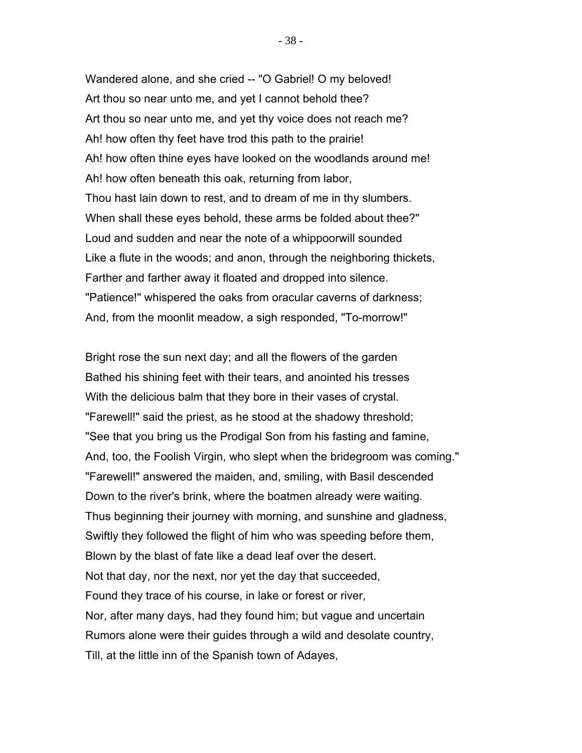Wandered alone, and she cried -- "O Gabriel! O my beloved! Art thou so near unto me, and yet I cannot behold thee? Art thou so near unto me, and yet thy voice does not reach me? Ah! how often thy feet have trod this path to the prairie! Ah! how often thine eyes have looked on the woodlands around me! Ah! how often beneath this oak, returning from labor, Thou hast lain down to rest, and to dream of me in thy slumbers. When shall these eyes behold, these arms be folded about thee?" Loud and sudden and near the note of a whippoorwill sounded Like a flute in the woods; and anon, through the neighboring thickets, Farther and farther away it floated and dropped into silence. "Patience!" whispered the oaks from oracular caverns of darkness; And, from the moonlit meadow, a sigh responded, "To-morrow!"

Bright rose the sun next day; and all the flowers of the garden Bathed his shining feet with their tears, and anointed his tresses With the delicious balm that they bore in their vases of crystal. "Farewell!" said the priest, as he stood at the shadowy threshold; "See that you bring us the Prodigal Son from his fasting and famine, And, too, the Foolish Virgin, who slept when the bridegroom was coming." "Farewell!" answered the maiden, and, smiling, with Basil descended Down to the river's brink, where the boatmen already were waiting. Thus beginning their journey with morning, and sunshine and gladness, Swiftly they followed the flight of him who was speeding before them, Blown by the blast of fate like a dead leaf over the desert. Not that day, nor the next, nor yet the day that succeeded, Found they trace of his course, in lake or forest or river, Nor, after many days, had they found him; but vague and uncertain Rumors alone were their guides through a wild and desolate country, Till, at the little inn of the Spanish town of Adayes,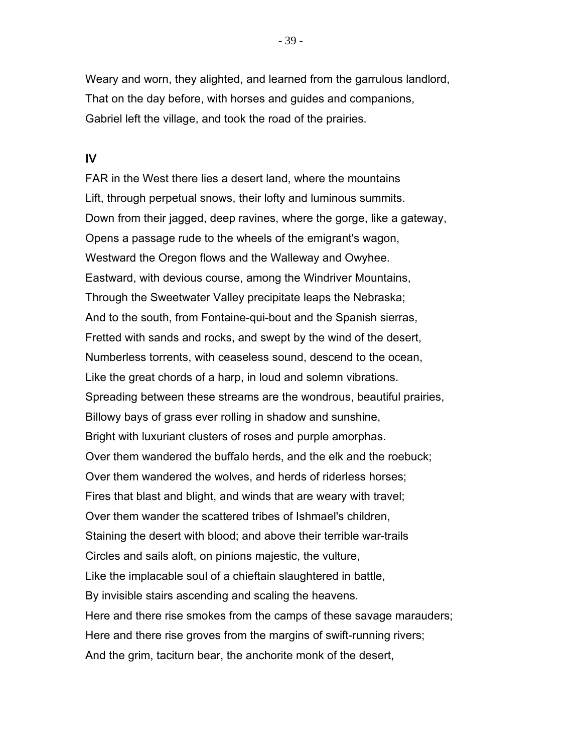Weary and worn, they alighted, and learned from the garrulous landlord, That on the day before, with horses and guides and companions, Gabriel left the village, and took the road of the prairies.

## IV

FAR in the West there lies a desert land, where the mountains Lift, through perpetual snows, their lofty and luminous summits. Down from their jagged, deep ravines, where the gorge, like a gateway, Opens a passage rude to the wheels of the emigrant's wagon, Westward the Oregon flows and the Walleway and Owyhee. Eastward, with devious course, among the Windriver Mountains, Through the Sweetwater Valley precipitate leaps the Nebraska; And to the south, from Fontaine-qui-bout and the Spanish sierras, Fretted with sands and rocks, and swept by the wind of the desert, Numberless torrents, with ceaseless sound, descend to the ocean, Like the great chords of a harp, in loud and solemn vibrations. Spreading between these streams are the wondrous, beautiful prairies, Billowy bays of grass ever rolling in shadow and sunshine, Bright with luxuriant clusters of roses and purple amorphas. Over them wandered the buffalo herds, and the elk and the roebuck; Over them wandered the wolves, and herds of riderless horses; Fires that blast and blight, and winds that are weary with travel; Over them wander the scattered tribes of Ishmael's children, Staining the desert with blood; and above their terrible war-trails Circles and sails aloft, on pinions majestic, the vulture, Like the implacable soul of a chieftain slaughtered in battle, By invisible stairs ascending and scaling the heavens. Here and there rise smokes from the camps of these savage marauders; Here and there rise groves from the margins of swift-running rivers; And the grim, taciturn bear, the anchorite monk of the desert,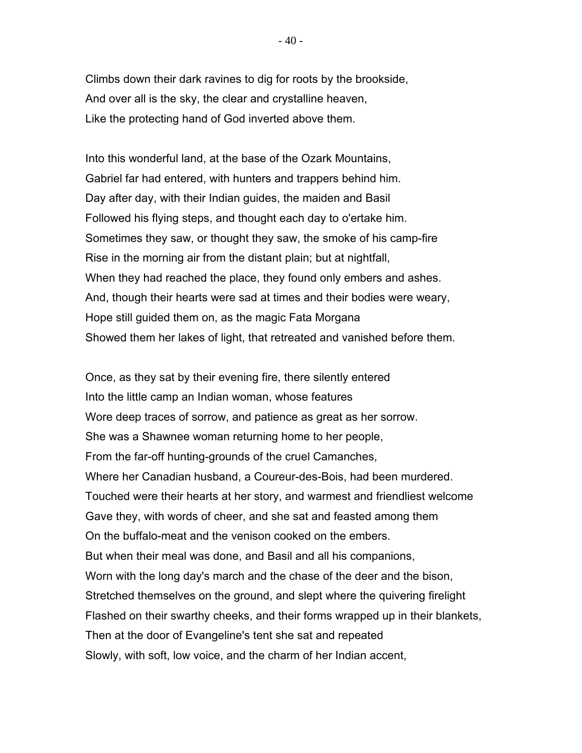Climbs down their dark ravines to dig for roots by the brookside, And over all is the sky, the clear and crystalline heaven, Like the protecting hand of God inverted above them.

Into this wonderful land, at the base of the Ozark Mountains, Gabriel far had entered, with hunters and trappers behind him. Day after day, with their Indian guides, the maiden and Basil Followed his flying steps, and thought each day to o'ertake him. Sometimes they saw, or thought they saw, the smoke of his camp-fire Rise in the morning air from the distant plain; but at nightfall, When they had reached the place, they found only embers and ashes. And, though their hearts were sad at times and their bodies were weary, Hope still guided them on, as the magic Fata Morgana Showed them her lakes of light, that retreated and vanished before them.

Once, as they sat by their evening fire, there silently entered Into the little camp an Indian woman, whose features Wore deep traces of sorrow, and patience as great as her sorrow. She was a Shawnee woman returning home to her people, From the far-off hunting-grounds of the cruel Camanches, Where her Canadian husband, a Coureur-des-Bois, had been murdered. Touched were their hearts at her story, and warmest and friendliest welcome Gave they, with words of cheer, and she sat and feasted among them On the buffalo-meat and the venison cooked on the embers. But when their meal was done, and Basil and all his companions, Worn with the long day's march and the chase of the deer and the bison, Stretched themselves on the ground, and slept where the quivering firelight Flashed on their swarthy cheeks, and their forms wrapped up in their blankets, Then at the door of Evangeline's tent she sat and repeated Slowly, with soft, low voice, and the charm of her Indian accent,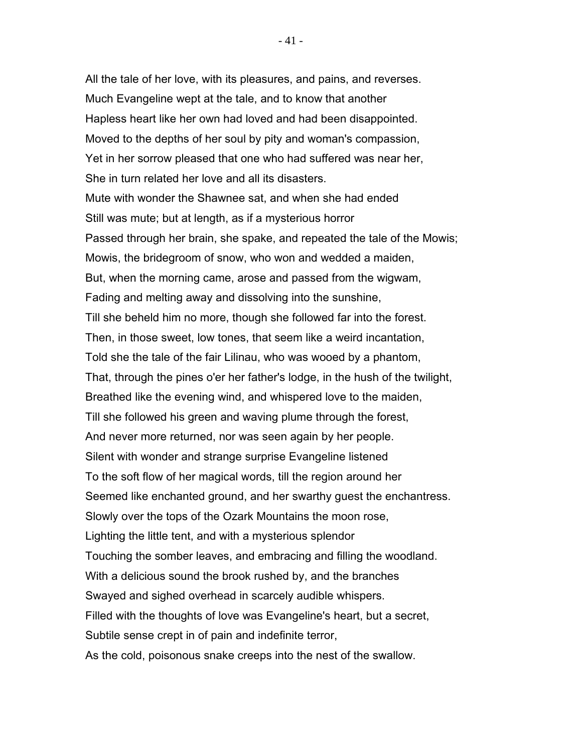All the tale of her love, with its pleasures, and pains, and reverses. Much Evangeline wept at the tale, and to know that another Hapless heart like her own had loved and had been disappointed. Moved to the depths of her soul by pity and woman's compassion, Yet in her sorrow pleased that one who had suffered was near her, She in turn related her love and all its disasters. Mute with wonder the Shawnee sat, and when she had ended Still was mute; but at length, as if a mysterious horror Passed through her brain, she spake, and repeated the tale of the Mowis; Mowis, the bridegroom of snow, who won and wedded a maiden, But, when the morning came, arose and passed from the wigwam, Fading and melting away and dissolving into the sunshine, Till she beheld him no more, though she followed far into the forest. Then, in those sweet, low tones, that seem like a weird incantation, Told she the tale of the fair Lilinau, who was wooed by a phantom, That, through the pines o'er her father's lodge, in the hush of the twilight, Breathed like the evening wind, and whispered love to the maiden, Till she followed his green and waving plume through the forest, And never more returned, nor was seen again by her people. Silent with wonder and strange surprise Evangeline listened To the soft flow of her magical words, till the region around her Seemed like enchanted ground, and her swarthy guest the enchantress. Slowly over the tops of the Ozark Mountains the moon rose, Lighting the little tent, and with a mysterious splendor Touching the somber leaves, and embracing and filling the woodland. With a delicious sound the brook rushed by, and the branches Swayed and sighed overhead in scarcely audible whispers. Filled with the thoughts of love was Evangeline's heart, but a secret, Subtile sense crept in of pain and indefinite terror, As the cold, poisonous snake creeps into the nest of the swallow.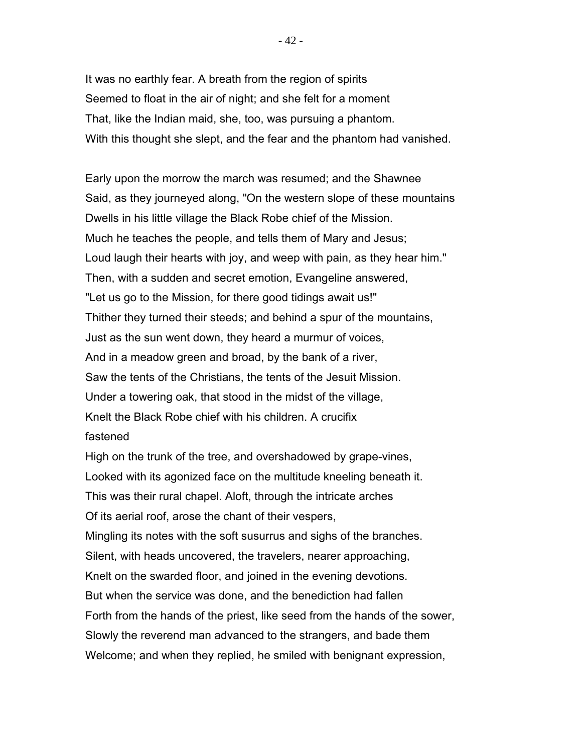It was no earthly fear. A breath from the region of spirits Seemed to float in the air of night; and she felt for a moment That, like the Indian maid, she, too, was pursuing a phantom. With this thought she slept, and the fear and the phantom had vanished.

Early upon the morrow the march was resumed; and the Shawnee Said, as they journeyed along, "On the western slope of these mountains Dwells in his little village the Black Robe chief of the Mission. Much he teaches the people, and tells them of Mary and Jesus; Loud laugh their hearts with joy, and weep with pain, as they hear him." Then, with a sudden and secret emotion, Evangeline answered, "Let us go to the Mission, for there good tidings await us!" Thither they turned their steeds; and behind a spur of the mountains, Just as the sun went down, they heard a murmur of voices, And in a meadow green and broad, by the bank of a river, Saw the tents of the Christians, the tents of the Jesuit Mission. Under a towering oak, that stood in the midst of the village, Knelt the Black Robe chief with his children. A crucifix fastened

High on the trunk of the tree, and overshadowed by grape-vines, Looked with its agonized face on the multitude kneeling beneath it. This was their rural chapel. Aloft, through the intricate arches Of its aerial roof, arose the chant of their vespers, Mingling its notes with the soft susurrus and sighs of the branches. Silent, with heads uncovered, the travelers, nearer approaching, Knelt on the swarded floor, and joined in the evening devotions. But when the service was done, and the benediction had fallen Forth from the hands of the priest, like seed from the hands of the sower, Slowly the reverend man advanced to the strangers, and bade them Welcome; and when they replied, he smiled with benignant expression,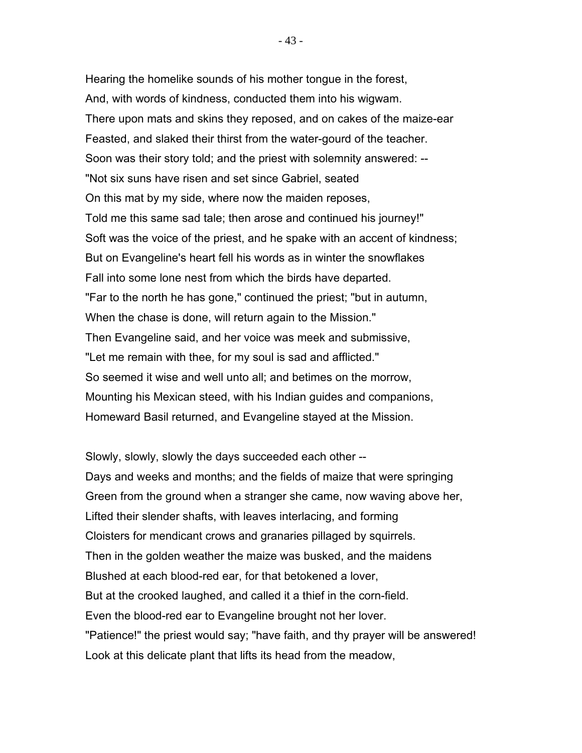Hearing the homelike sounds of his mother tongue in the forest, And, with words of kindness, conducted them into his wigwam. There upon mats and skins they reposed, and on cakes of the maize-ear Feasted, and slaked their thirst from the water-gourd of the teacher. Soon was their story told; and the priest with solemnity answered: -- "Not six suns have risen and set since Gabriel, seated On this mat by my side, where now the maiden reposes, Told me this same sad tale; then arose and continued his journey!" Soft was the voice of the priest, and he spake with an accent of kindness; But on Evangeline's heart fell his words as in winter the snowflakes Fall into some lone nest from which the birds have departed. "Far to the north he has gone," continued the priest; "but in autumn, When the chase is done, will return again to the Mission." Then Evangeline said, and her voice was meek and submissive, "Let me remain with thee, for my soul is sad and afflicted." So seemed it wise and well unto all; and betimes on the morrow, Mounting his Mexican steed, with his Indian guides and companions, Homeward Basil returned, and Evangeline stayed at the Mission.

Slowly, slowly, slowly the days succeeded each other -- Days and weeks and months; and the fields of maize that were springing Green from the ground when a stranger she came, now waving above her, Lifted their slender shafts, with leaves interlacing, and forming Cloisters for mendicant crows and granaries pillaged by squirrels. Then in the golden weather the maize was busked, and the maidens Blushed at each blood-red ear, for that betokened a lover, But at the crooked laughed, and called it a thief in the corn-field. Even the blood-red ear to Evangeline brought not her lover. "Patience!" the priest would say; "have faith, and thy prayer will be answered! Look at this delicate plant that lifts its head from the meadow,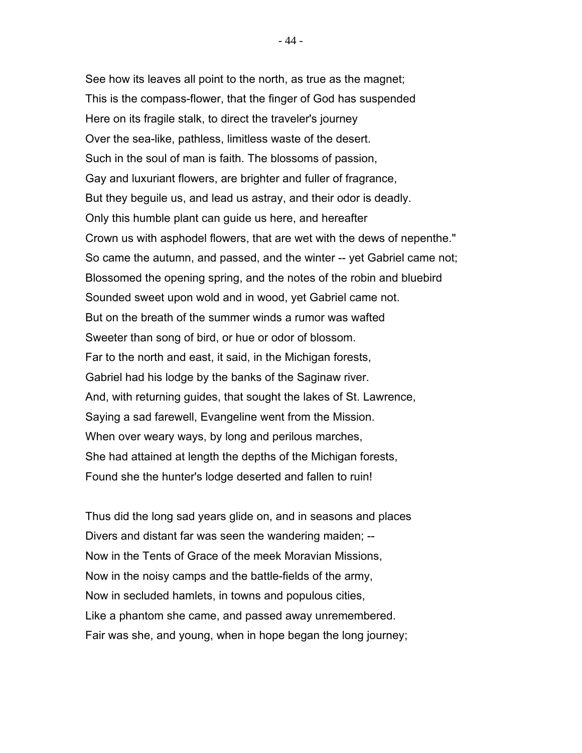See how its leaves all point to the north, as true as the magnet; This is the compass-flower, that the finger of God has suspended Here on its fragile stalk, to direct the traveler's journey Over the sea-like, pathless, limitless waste of the desert. Such in the soul of man is faith. The blossoms of passion, Gay and luxuriant flowers, are brighter and fuller of fragrance, But they beguile us, and lead us astray, and their odor is deadly. Only this humble plant can guide us here, and hereafter Crown us with asphodel flowers, that are wet with the dews of nepenthe." So came the autumn, and passed, and the winter -- yet Gabriel came not; Blossomed the opening spring, and the notes of the robin and bluebird Sounded sweet upon wold and in wood, yet Gabriel came not. But on the breath of the summer winds a rumor was wafted Sweeter than song of bird, or hue or odor of blossom. Far to the north and east, it said, in the Michigan forests, Gabriel had his lodge by the banks of the Saginaw river. And, with returning guides, that sought the lakes of St. Lawrence, Saying a sad farewell, Evangeline went from the Mission. When over weary ways, by long and perilous marches, She had attained at length the depths of the Michigan forests, Found she the hunter's lodge deserted and fallen to ruin!

Thus did the long sad years glide on, and in seasons and places Divers and distant far was seen the wandering maiden; -- Now in the Tents of Grace of the meek Moravian Missions, Now in the noisy camps and the battle-fields of the army, Now in secluded hamlets, in towns and populous cities, Like a phantom she came, and passed away unremembered. Fair was she, and young, when in hope began the long journey;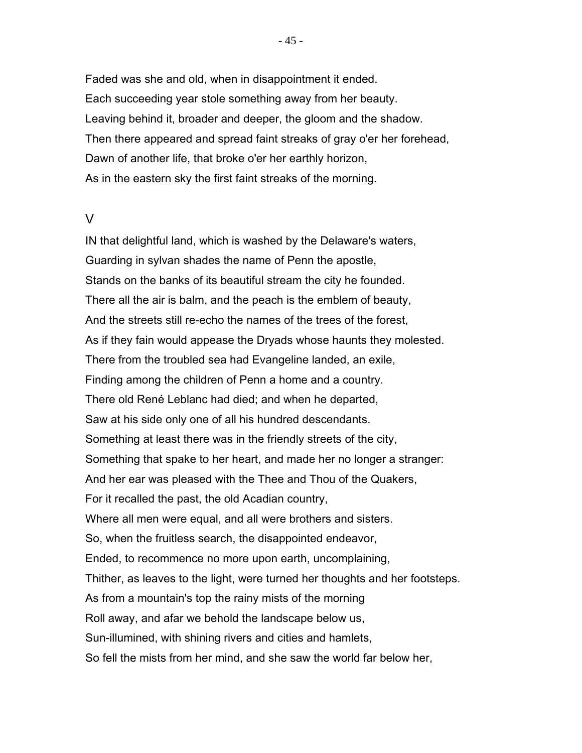Faded was she and old, when in disappointment it ended. Each succeeding year stole something away from her beauty. Leaving behind it, broader and deeper, the gloom and the shadow. Then there appeared and spread faint streaks of gray o'er her forehead, Dawn of another life, that broke o'er her earthly horizon, As in the eastern sky the first faint streaks of the morning.

## V

IN that delightful land, which is washed by the Delaware's waters, Guarding in sylvan shades the name of Penn the apostle, Stands on the banks of its beautiful stream the city he founded. There all the air is balm, and the peach is the emblem of beauty, And the streets still re-echo the names of the trees of the forest, As if they fain would appease the Dryads whose haunts they molested. There from the troubled sea had Evangeline landed, an exile, Finding among the children of Penn a home and a country. There old René Leblanc had died; and when he departed, Saw at his side only one of all his hundred descendants. Something at least there was in the friendly streets of the city, Something that spake to her heart, and made her no longer a stranger: And her ear was pleased with the Thee and Thou of the Quakers, For it recalled the past, the old Acadian country, Where all men were equal, and all were brothers and sisters. So, when the fruitless search, the disappointed endeavor, Ended, to recommence no more upon earth, uncomplaining, Thither, as leaves to the light, were turned her thoughts and her footsteps. As from a mountain's top the rainy mists of the morning Roll away, and afar we behold the landscape below us, Sun-illumined, with shining rivers and cities and hamlets, So fell the mists from her mind, and she saw the world far below her,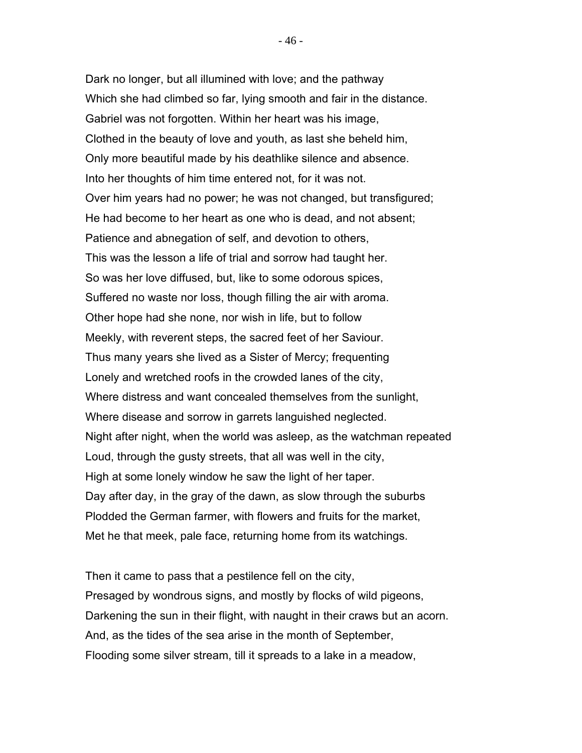Dark no longer, but all illumined with love; and the pathway Which she had climbed so far, lying smooth and fair in the distance. Gabriel was not forgotten. Within her heart was his image, Clothed in the beauty of love and youth, as last she beheld him, Only more beautiful made by his deathlike silence and absence. Into her thoughts of him time entered not, for it was not. Over him years had no power; he was not changed, but transfigured; He had become to her heart as one who is dead, and not absent; Patience and abnegation of self, and devotion to others, This was the lesson a life of trial and sorrow had taught her. So was her love diffused, but, like to some odorous spices, Suffered no waste nor loss, though filling the air with aroma. Other hope had she none, nor wish in life, but to follow Meekly, with reverent steps, the sacred feet of her Saviour. Thus many years she lived as a Sister of Mercy; frequenting Lonely and wretched roofs in the crowded lanes of the city, Where distress and want concealed themselves from the sunlight, Where disease and sorrow in garrets languished neglected. Night after night, when the world was asleep, as the watchman repeated Loud, through the gusty streets, that all was well in the city, High at some lonely window he saw the light of her taper. Day after day, in the gray of the dawn, as slow through the suburbs Plodded the German farmer, with flowers and fruits for the market, Met he that meek, pale face, returning home from its watchings.

Then it came to pass that a pestilence fell on the city, Presaged by wondrous signs, and mostly by flocks of wild pigeons, Darkening the sun in their flight, with naught in their craws but an acorn. And, as the tides of the sea arise in the month of September, Flooding some silver stream, till it spreads to a lake in a meadow,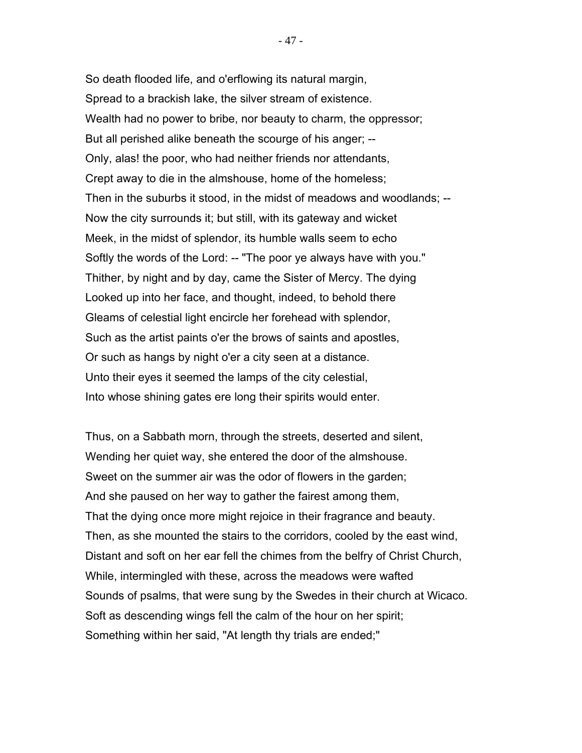So death flooded life, and o'erflowing its natural margin, Spread to a brackish lake, the silver stream of existence. Wealth had no power to bribe, nor beauty to charm, the oppressor; But all perished alike beneath the scourge of his anger; -- Only, alas! the poor, who had neither friends nor attendants, Crept away to die in the almshouse, home of the homeless; Then in the suburbs it stood, in the midst of meadows and woodlands; -- Now the city surrounds it; but still, with its gateway and wicket Meek, in the midst of splendor, its humble walls seem to echo Softly the words of the Lord: -- "The poor ye always have with you." Thither, by night and by day, came the Sister of Mercy. The dying Looked up into her face, and thought, indeed, to behold there Gleams of celestial light encircle her forehead with splendor, Such as the artist paints o'er the brows of saints and apostles, Or such as hangs by night o'er a city seen at a distance. Unto their eyes it seemed the lamps of the city celestial, Into whose shining gates ere long their spirits would enter.

Thus, on a Sabbath morn, through the streets, deserted and silent, Wending her quiet way, she entered the door of the almshouse. Sweet on the summer air was the odor of flowers in the garden; And she paused on her way to gather the fairest among them, That the dying once more might rejoice in their fragrance and beauty. Then, as she mounted the stairs to the corridors, cooled by the east wind, Distant and soft on her ear fell the chimes from the belfry of Christ Church, While, intermingled with these, across the meadows were wafted Sounds of psalms, that were sung by the Swedes in their church at Wicaco. Soft as descending wings fell the calm of the hour on her spirit; Something within her said, "At length thy trials are ended;"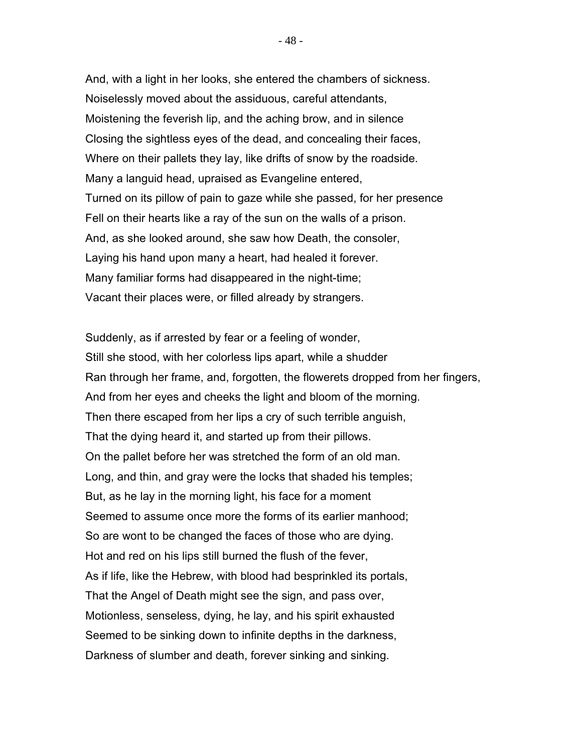And, with a light in her looks, she entered the chambers of sickness. Noiselessly moved about the assiduous, careful attendants, Moistening the feverish lip, and the aching brow, and in silence Closing the sightless eyes of the dead, and concealing their faces, Where on their pallets they lay, like drifts of snow by the roadside. Many a languid head, upraised as Evangeline entered, Turned on its pillow of pain to gaze while she passed, for her presence Fell on their hearts like a ray of the sun on the walls of a prison. And, as she looked around, she saw how Death, the consoler, Laying his hand upon many a heart, had healed it forever. Many familiar forms had disappeared in the night-time; Vacant their places were, or filled already by strangers.

Suddenly, as if arrested by fear or a feeling of wonder, Still she stood, with her colorless lips apart, while a shudder Ran through her frame, and, forgotten, the flowerets dropped from her fingers, And from her eyes and cheeks the light and bloom of the morning. Then there escaped from her lips a cry of such terrible anguish, That the dying heard it, and started up from their pillows. On the pallet before her was stretched the form of an old man. Long, and thin, and gray were the locks that shaded his temples; But, as he lay in the morning light, his face for a moment Seemed to assume once more the forms of its earlier manhood; So are wont to be changed the faces of those who are dying. Hot and red on his lips still burned the flush of the fever, As if life, like the Hebrew, with blood had besprinkled its portals, That the Angel of Death might see the sign, and pass over, Motionless, senseless, dying, he lay, and his spirit exhausted Seemed to be sinking down to infinite depths in the darkness, Darkness of slumber and death, forever sinking and sinking.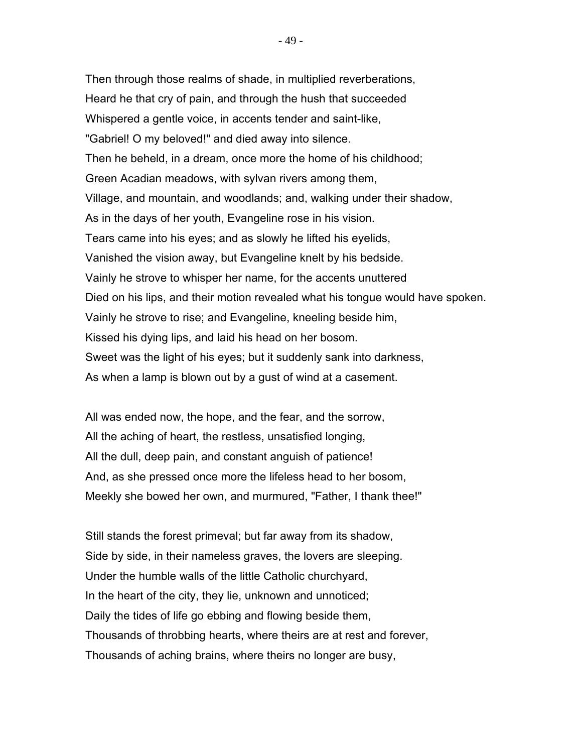Then through those realms of shade, in multiplied reverberations, Heard he that cry of pain, and through the hush that succeeded Whispered a gentle voice, in accents tender and saint-like, "Gabriel! O my beloved!" and died away into silence. Then he beheld, in a dream, once more the home of his childhood; Green Acadian meadows, with sylvan rivers among them, Village, and mountain, and woodlands; and, walking under their shadow, As in the days of her youth, Evangeline rose in his vision. Tears came into his eyes; and as slowly he lifted his eyelids, Vanished the vision away, but Evangeline knelt by his bedside. Vainly he strove to whisper her name, for the accents unuttered Died on his lips, and their motion revealed what his tongue would have spoken. Vainly he strove to rise; and Evangeline, kneeling beside him, Kissed his dying lips, and laid his head on her bosom. Sweet was the light of his eyes; but it suddenly sank into darkness, As when a lamp is blown out by a gust of wind at a casement.

All was ended now, the hope, and the fear, and the sorrow, All the aching of heart, the restless, unsatisfied longing, All the dull, deep pain, and constant anguish of patience! And, as she pressed once more the lifeless head to her bosom, Meekly she bowed her own, and murmured, "Father, I thank thee!"

Still stands the forest primeval; but far away from its shadow, Side by side, in their nameless graves, the lovers are sleeping. Under the humble walls of the little Catholic churchyard, In the heart of the city, they lie, unknown and unnoticed; Daily the tides of life go ebbing and flowing beside them, Thousands of throbbing hearts, where theirs are at rest and forever, Thousands of aching brains, where theirs no longer are busy,